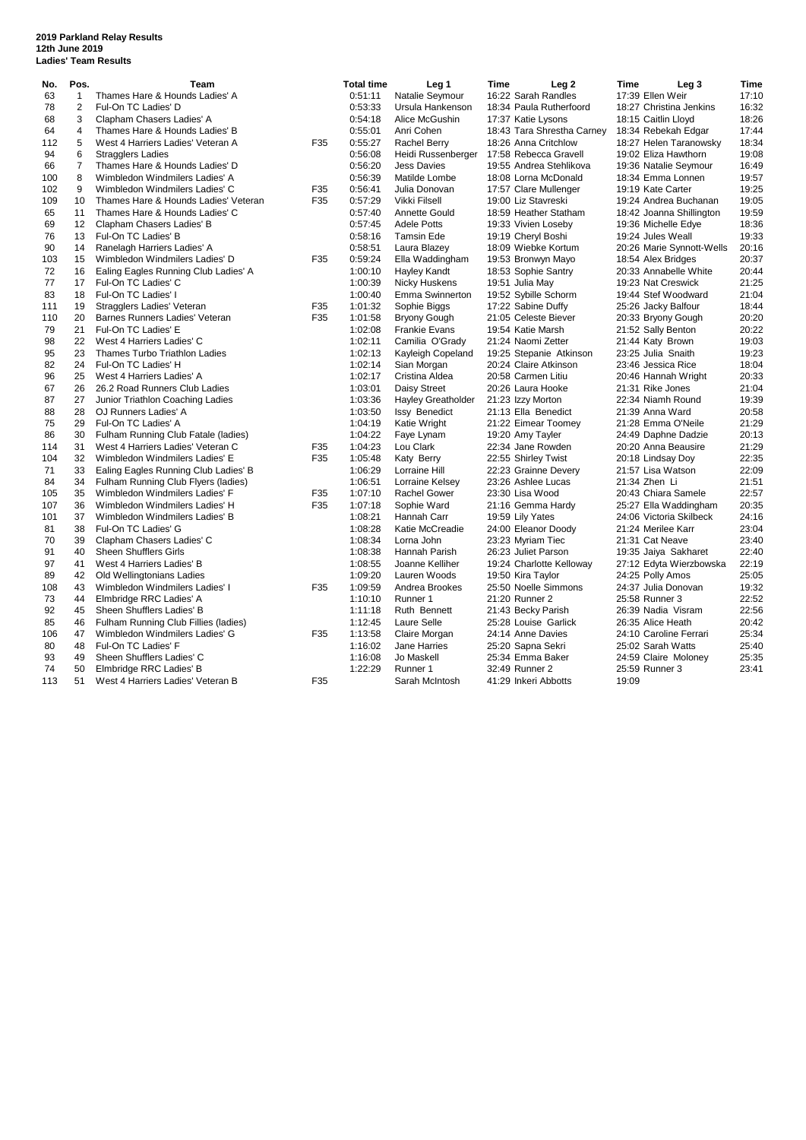## **2019 Parkland Relay Results 12th June 2019 Ladies' Team Results**

| No. | Pos.              | <b>Team</b>                          |     | <b>Total time</b> | Leg <sub>1</sub>          | Time | Leg 2                      | <b>Time</b> | Leg <sub>3</sub>          | <b>Time</b> |
|-----|-------------------|--------------------------------------|-----|-------------------|---------------------------|------|----------------------------|-------------|---------------------------|-------------|
| 63  | $\mathbf{1}$      | Thames Hare & Hounds Ladies' A       |     | 0:51:11           | Natalie Seymour           |      | 16:22 Sarah Randles        |             | 17:39 Ellen Weir          | 17:10       |
| 78  | 2                 | Ful-On TC Ladies' D                  |     | 0:53:33           | Ursula Hankenson          |      | 18:34 Paula Rutherfoord    |             | 18:27 Christina Jenkins   | 16:32       |
| 68  | 3                 | Clapham Chasers Ladies' A            |     | 0:54:18           | Alice McGushin            |      | 17:37 Katie Lysons         |             | 18:15 Caitlin Lloyd       | 18:26       |
| 64  | $\overline{4}$    | Thames Hare & Hounds Ladies' B       |     | 0:55:01           | Anri Cohen                |      | 18:43 Tara Shrestha Carney |             | 18:34 Rebekah Edgar       | 17:44       |
| 112 | 5                 | West 4 Harriers Ladies' Veteran A    | F35 | 0:55:27           | Rachel Berry              |      | 18:26 Anna Critchlow       |             | 18:27 Helen Taranowsky    | 18:34       |
| 94  | 6                 | <b>Stragglers Ladies</b>             |     | 0:56:08           | Heidi Russenberger        |      | 17:58 Rebecca Gravell      |             | 19:02 Eliza Hawthorn      | 19:08       |
| 66  | $\overline{7}$    | Thames Hare & Hounds Ladies' D       |     | 0:56:20           | <b>Jess Davies</b>        |      | 19:55 Andrea Stehlikova    |             | 19:36 Natalie Seymour     | 16:49       |
| 100 | 8                 | Wimbledon Windmilers Ladies' A       |     | 0:56:39           | Matilde Lombe             |      | 18:08 Lorna McDonald       |             | 18:34 Emma Lonnen         | 19:57       |
| 102 | 9                 | Wimbledon Windmilers Ladies' C       | F35 | 0:56:41           | Julia Donovan             |      | 17:57 Clare Mullenger      |             | 19:19 Kate Carter         | 19:25       |
| 109 | 10                | Thames Hare & Hounds Ladies' Veteran | F35 | 0:57:29           | Vikki Filsell             |      | 19:00 Liz Stavreski        |             | 19:24 Andrea Buchanan     | 19:05       |
| 65  | 11                | Thames Hare & Hounds Ladies' C       |     | 0:57:40           | Annette Gould             |      | 18:59 Heather Statham      |             | 18:42 Joanna Shillington  | 19:59       |
| 69  | $12 \overline{ }$ | Clapham Chasers Ladies' B            |     | 0:57:45           | <b>Adele Potts</b>        |      | 19:33 Vivien Loseby        |             | 19:36 Michelle Edye       | 18:36       |
| 76  | 13                | Ful-On TC Ladies' B                  |     | 0:58:16           | Tamsin Ede                |      | 19:19 Cheryl Boshi         |             | 19:24 Jules Weall         | 19:33       |
| 90  | 14                | Ranelagh Harriers Ladies' A          |     | 0:58:51           | Laura Blazey              |      | 18:09 Wiebke Kortum        |             | 20:26 Marie Synnott-Wells | 20:16       |
| 103 | 15                | Wimbledon Windmilers Ladies' D       | F35 | 0:59:24           | Ella Waddingham           |      | 19:53 Bronwyn Mayo         |             | 18:54 Alex Bridges        | 20:37       |
| 72  | 16                | Ealing Eagles Running Club Ladies' A |     | 1:00:10           | Hayley Kandt              |      | 18:53 Sophie Santry        |             | 20:33 Annabelle White     | 20:44       |
| 77  | 17                | Ful-On TC Ladies' C                  |     | 1:00:39           | Nicky Huskens             |      | 19:51 Julia May            |             | 19:23 Nat Creswick        | 21:25       |
| 83  | 18                | Ful-On TC Ladies' I                  |     | 1:00:40           | Emma Swinnerton           |      | 19:52 Sybille Schorm       |             | 19:44 Stef Woodward       | 21:04       |
| 111 | 19                | Stragglers Ladies' Veteran           | F35 | 1:01:32           | Sophie Biggs              |      | 17:22 Sabine Duffy         |             | 25:26 Jacky Balfour       | 18:44       |
| 110 | 20                | Barnes Runners Ladies' Veteran       | F35 | 1:01:58           | Bryony Gough              |      | 21:05 Celeste Biever       |             | 20:33 Bryony Gough        | 20:20       |
| 79  | 21                | Ful-On TC Ladies' E                  |     | 1:02:08           | <b>Frankie Evans</b>      |      | 19:54 Katie Marsh          |             | 21:52 Sally Benton        | 20:22       |
| 98  | 22                | West 4 Harriers Ladies' C            |     | 1:02:11           | Camilia O'Grady           |      | 21:24 Naomi Zetter         |             | 21:44 Katy Brown          | 19:03       |
| 95  | 23                | Thames Turbo Triathlon Ladies        |     | 1:02:13           | Kayleigh Copeland         |      | 19:25 Stepanie Atkinson    |             | 23:25 Julia Snaith        | 19:23       |
| 82  | 24                | Ful-On TC Ladies' H                  |     | 1:02:14           | Sian Morgan               |      | 20:24 Claire Atkinson      |             | 23:46 Jessica Rice        | 18:04       |
| 96  | 25                | West 4 Harriers Ladies' A            |     | 1:02:17           | Cristina Aldea            |      | 20:58 Carmen Litiu         |             | 20:46 Hannah Wright       | 20:33       |
| 67  | 26                | 26.2 Road Runners Club Ladies        |     | 1:03:01           | Daisy Street              |      | 20:26 Laura Hooke          |             | 21:31 Rike Jones          | 21:04       |
| 87  | 27                | Junior Triathlon Coaching Ladies     |     | 1:03:36           | <b>Hayley Greatholder</b> |      | 21:23 Izzy Morton          |             | 22:34 Niamh Round         | 19:39       |
| 88  | 28                | OJ Runners Ladies' A                 |     | 1:03:50           | <b>Issy Benedict</b>      |      | 21:13 Ella Benedict        |             | 21:39 Anna Ward           | 20:58       |
| 75  | 29                | Ful-On TC Ladies' A                  |     | 1:04:19           | Katie Wright              |      | 21:22 Eimear Toomey        |             | 21:28 Emma O'Neile        | 21:29       |
| 86  | 30                | Fulham Running Club Fatale (ladies)  |     | 1:04:22           | Faye Lynam                |      | 19:20 Amy Tayler           |             | 24:49 Daphne Dadzie       | 20:13       |
| 114 | 31                | West 4 Harriers Ladies' Veteran C    | F35 | 1:04:23           | Lou Clark                 |      | 22:34 Jane Rowden          |             | 20:20 Anna Beausire       | 21:29       |
| 104 | 32                | Wimbledon Windmilers Ladies' E       | F35 | 1:05:48           | Katy Berry                |      | 22:55 Shirley Twist        |             | 20:18 Lindsay Doy         | 22:35       |
| 71  | 33                | Ealing Eagles Running Club Ladies' B |     | 1:06:29           | Lorraine Hill             |      | 22:23 Grainne Devery       |             | 21:57 Lisa Watson         | 22:09       |
| 84  | 34                | Fulham Running Club Flyers (ladies)  |     | 1:06:51           | Lorraine Kelsey           |      | 23:26 Ashlee Lucas         |             | 21:34 Zhen Li             | 21:51       |
| 105 | 35                | Wimbledon Windmilers Ladies' F       | F35 | 1:07:10           | Rachel Gower              |      | 23:30 Lisa Wood            |             | 20:43 Chiara Samele       | 22:57       |
| 107 | 36                | Wimbledon Windmilers Ladies' H       | F35 | 1:07:18           | Sophie Ward               |      | 21:16 Gemma Hardy          |             | 25:27 Ella Waddingham     | 20:35       |
| 101 | 37                | Wimbledon Windmilers Ladies' B       |     | 1:08:21           | Hannah Carr               |      | 19:59 Lily Yates           |             | 24:06 Victoria Skilbeck   | 24:16       |
| 81  | 38                | Ful-On TC Ladies' G                  |     | 1:08:28           | Katie McCreadie           |      | 24:00 Eleanor Doody        |             | 21:24 Merilee Karr        | 23:04       |
| 70  | 39                | Clapham Chasers Ladies' C            |     | 1:08:34           | Lorna John                |      | 23:23 Myriam Tiec          |             | 21:31 Cat Neave           | 23:40       |
| 91  | 40                | <b>Sheen Shufflers Girls</b>         |     | 1:08:38           | Hannah Parish             |      | 26:23 Juliet Parson        |             | 19:35 Jaiya Sakharet      | 22:40       |
| 97  | 41                | West 4 Harriers Ladies' B            |     | 1:08:55           | Joanne Kelliher           |      | 19:24 Charlotte Kelloway   |             | 27:12 Edyta Wierzbowska   | 22:19       |
| 89  | 42                | Old Wellingtonians Ladies            |     | 1:09:20           | Lauren Woods              |      | 19:50 Kira Taylor          |             | 24:25 Polly Amos          | 25:05       |
| 108 | 43                | Wimbledon Windmilers Ladies' I       | F35 | 1:09:59           | Andrea Brookes            |      | 25:50 Noelle Simmons       |             | 24:37 Julia Donovan       | 19:32       |
| 73  | 44                | Elmbridge RRC Ladies' A              |     | 1:10:10           | Runner 1                  |      | 21:20 Runner 2             |             | 25:58 Runner 3            | 22:52       |
| 92  | 45                | Sheen Shufflers Ladies' B            |     | 1:11:18           | Ruth Bennett              |      | 21:43 Becky Parish         |             | 26:39 Nadia Visram        | 22:56       |
| 85  | 46                | Fulham Running Club Fillies (ladies) |     | 1:12:45           | Laure Selle               |      | 25:28 Louise Garlick       |             | 26:35 Alice Heath         | 20:42       |
| 106 | 47                | Wimbledon Windmilers Ladies' G       | F35 | 1:13:58           | Claire Morgan             |      | 24:14 Anne Davies          |             | 24:10 Caroline Ferrari    | 25:34       |
| 80  | 48                | Ful-On TC Ladies' F                  |     | 1:16:02           | Jane Harries              |      | 25:20 Sapna Sekri          |             | 25:02 Sarah Watts         | 25:40       |
| 93  | 49                | Sheen Shufflers Ladies' C            |     | 1:16:08           | Jo Maskell                |      | 25:34 Emma Baker           |             | 24:59 Claire Moloney      | 25:35       |
| 74  | 50                | Elmbridge RRC Ladies' B              |     | 1:22:29           | Runner 1                  |      | 32:49 Runner 2             |             | 25:59 Runner 3            | 23:41       |
| 113 | 51                | West 4 Harriers Ladies' Veteran B    | F35 |                   | Sarah McIntosh            |      | 41:29 Inkeri Abbotts       | 19:09       |                           |             |
|     |                   |                                      |     |                   |                           |      |                            |             |                           |             |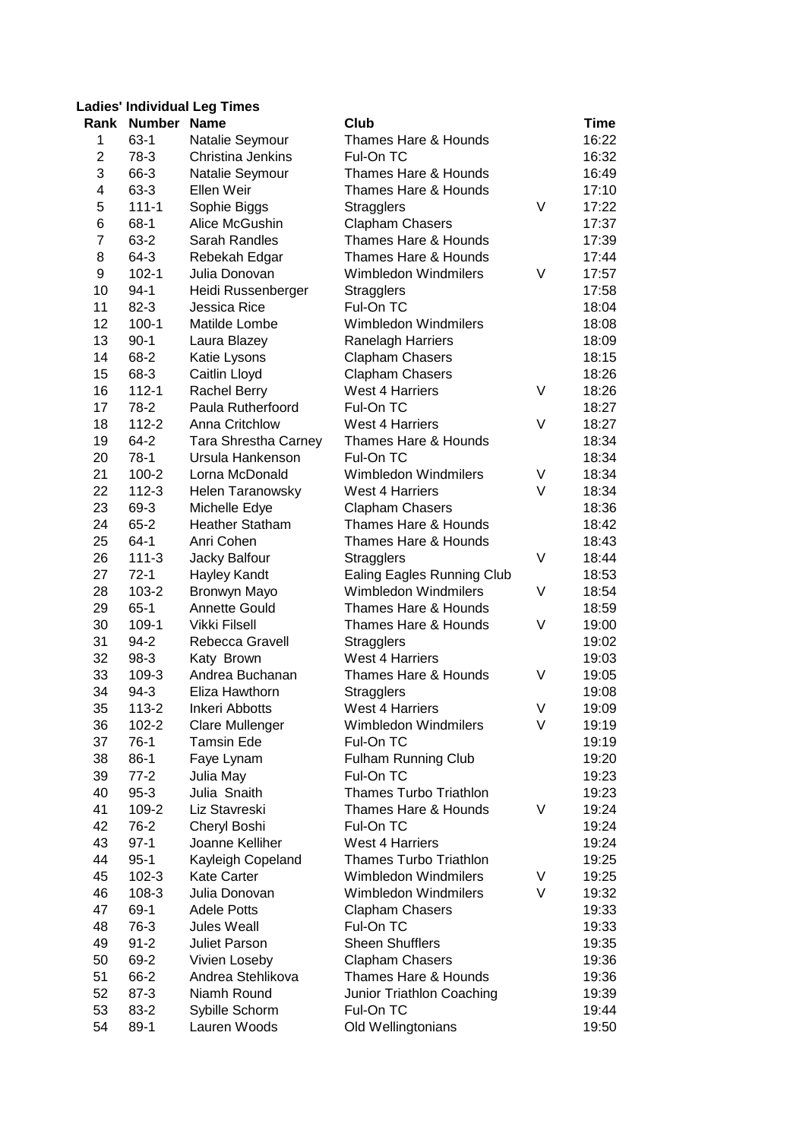## **Ladies' Individual Leg Times**

|                | Rank Number Name  |                         | Club                                        |        | Time           |
|----------------|-------------------|-------------------------|---------------------------------------------|--------|----------------|
| 1              | $63-1$            | Natalie Seymour         | Thames Hare & Hounds                        |        | 16:22          |
| $\overline{c}$ | 78-3              | Christina Jenkins       | Ful-On TC                                   |        | 16:32          |
| 3              | 66-3              | Natalie Seymour         | Thames Hare & Hounds                        |        | 16:49          |
| 4              | 63-3              | Ellen Weir              | Thames Hare & Hounds                        |        | 17:10          |
| 5              | $111 - 1$         | Sophie Biggs            | <b>Stragglers</b>                           | V      | 17:22          |
| 6              | $68-1$            | Alice McGushin          | <b>Clapham Chasers</b>                      |        | 17:37          |
| $\overline{7}$ | 63-2              | Sarah Randles           | Thames Hare & Hounds                        |        | 17:39          |
| 8              | 64-3              | Rebekah Edgar           | Thames Hare & Hounds                        |        | 17:44          |
| 9              | $102 - 1$         | Julia Donovan           | <b>Wimbledon Windmilers</b>                 | V      | 17:57          |
| 10             | $94-1$            | Heidi Russenberger      | <b>Stragglers</b>                           |        | 17:58          |
| 11             | $82 - 3$          | Jessica Rice            | Ful-On TC                                   |        | 18:04          |
| 12             | $100-1$           | Matilde Lombe           | <b>Wimbledon Windmilers</b>                 |        | 18:08          |
| 13             | $90-1$            | Laura Blazey            | Ranelagh Harriers                           |        | 18:09          |
| 14             | 68-2              | Katie Lysons            | <b>Clapham Chasers</b>                      |        | 18:15          |
| 15             | 68-3              | Caitlin Lloyd           | <b>Clapham Chasers</b>                      |        | 18:26          |
| 16             | $112 - 1$         | <b>Rachel Berry</b>     | <b>West 4 Harriers</b>                      | $\vee$ | 18:26          |
| 17             | 78-2              | Paula Rutherfoord       | Ful-On TC                                   |        | 18:27          |
| 18             | $112 - 2$         | Anna Critchlow          | <b>West 4 Harriers</b>                      | V      | 18:27          |
| 19             | 64-2              | Tara Shrestha Carney    | Thames Hare & Hounds                        |        | 18:34          |
| 20             | $78-1$            | Ursula Hankenson        | Ful-On TC                                   |        | 18:34          |
| 21             | $100 - 2$         | Lorna McDonald          | <b>Wimbledon Windmilers</b>                 | V      | 18:34          |
| 22             | $112 - 3$         | <b>Helen Taranowsky</b> | <b>West 4 Harriers</b>                      | V      | 18:34          |
| 23             | 69-3              | Michelle Edye           | <b>Clapham Chasers</b>                      |        | 18:36          |
| 24             | $65 - 2$          | <b>Heather Statham</b>  | Thames Hare & Hounds                        |        | 18:42          |
| 25             | $64-1$            | Anri Cohen              | Thames Hare & Hounds                        |        | 18:43          |
| 26             | $111-3$           | Jacky Balfour           | <b>Stragglers</b>                           | V      | 18:44          |
| 27             | $72-1$            | Hayley Kandt            | <b>Ealing Eagles Running Club</b>           |        | 18:53          |
| 28             | $103 - 2$         | Bronwyn Mayo            | <b>Wimbledon Windmilers</b>                 | V      | 18:54          |
| 29             | $65-1$            | Annette Gould           | Thames Hare & Hounds                        |        | 18:59          |
| 30             | 109-1             | Vikki Filsell           | Thames Hare & Hounds                        | V      | 19:00          |
| 31             | $94 - 2$          | Rebecca Gravell         |                                             |        | 19:02          |
| 32             | 98-3              | Katy Brown              | <b>Stragglers</b><br><b>West 4 Harriers</b> |        |                |
| 33             | 109-3             | Andrea Buchanan         | Thames Hare & Hounds                        | V      | 19:03          |
|                |                   | Eliza Hawthorn          |                                             |        | 19:05          |
| 34<br>35       | 94-3<br>$113 - 2$ | <b>Inkeri Abbotts</b>   | <b>Stragglers</b><br><b>West 4 Harriers</b> | V      | 19:08<br>19:09 |
|                | $102 - 2$         |                         | Wimbledon Windmilers                        | V      | 19:19          |
| 36             |                   | Clare Mullenger         |                                             |        |                |
| 37             | $76-1$            | <b>Tamsin Ede</b>       | Ful-On TC                                   |        | 19:19          |
| 38             | $86-1$            | Faye Lynam              | <b>Fulham Running Club</b>                  |        | 19:20<br>19:23 |
| 39             | $77-2$            | Julia May               | Ful-On TC                                   |        |                |
| 40             | $95-3$            | Julia Snaith            | <b>Thames Turbo Triathlon</b>               |        | 19:23          |
| 41             | 109-2             | Liz Stavreski           | Thames Hare & Hounds                        | V      | 19:24          |
| 42             | 76-2              | Cheryl Boshi            | Ful-On TC                                   |        | 19:24          |
| 43             | $97-1$            | Joanne Kelliher         | <b>West 4 Harriers</b>                      |        | 19:24          |
| 44             | $95 - 1$          | Kayleigh Copeland       | <b>Thames Turbo Triathlon</b>               |        | 19:25          |
| 45             | $102 - 3$         | <b>Kate Carter</b>      | Wimbledon Windmilers                        | V      | 19:25          |
| 46             | 108-3             | Julia Donovan           | Wimbledon Windmilers                        | V      | 19:32          |
| 47             | 69-1              | <b>Adele Potts</b>      | <b>Clapham Chasers</b>                      |        | 19:33          |
| 48             | 76-3              | Jules Weall             | Ful-On TC                                   |        | 19:33          |
| 49             | $91 - 2$          | Juliet Parson           | <b>Sheen Shufflers</b>                      |        | 19:35          |
| 50             | 69-2              | Vivien Loseby           | Clapham Chasers                             |        | 19:36          |
| 51             | 66-2              | Andrea Stehlikova       | Thames Hare & Hounds                        |        | 19:36          |
| 52             | $87-3$            | Niamh Round             | Junior Triathlon Coaching                   |        | 19:39          |
| 53             | 83-2              | Sybille Schorm          | Ful-On TC                                   |        | 19:44          |
| 54             | 89-1              | Lauren Woods            | Old Wellingtonians                          |        | 19:50          |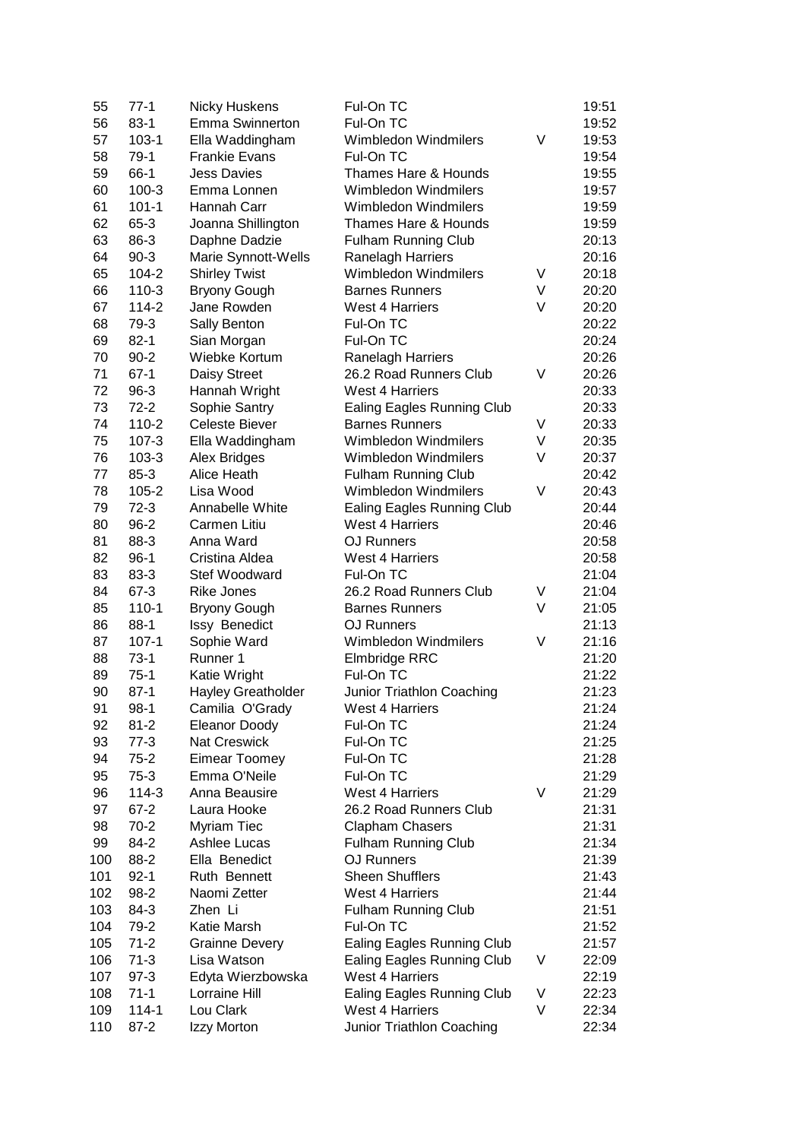| 55  | $77-1$    | <b>Nicky Huskens</b>  | Ful-On TC                         |   | 19:51 |
|-----|-----------|-----------------------|-----------------------------------|---|-------|
| 56  | $83-1$    | Emma Swinnerton       | Ful-On TC                         |   | 19:52 |
| 57  | $103 - 1$ | Ella Waddingham       | <b>Wimbledon Windmilers</b>       | V | 19:53 |
| 58  | $79-1$    | <b>Frankie Evans</b>  | Ful-On TC                         |   | 19:54 |
| 59  | 66-1      | <b>Jess Davies</b>    | Thames Hare & Hounds              |   | 19:55 |
| 60  | $100-3$   | Emma Lonnen           | <b>Wimbledon Windmilers</b>       |   | 19:57 |
| 61  | $101 - 1$ | Hannah Carr           | <b>Wimbledon Windmilers</b>       |   | 19:59 |
| 62  | 65-3      | Joanna Shillington    | Thames Hare & Hounds              |   | 19:59 |
| 63  | 86-3      | Daphne Dadzie         | <b>Fulham Running Club</b>        |   | 20:13 |
| 64  | $90-3$    | Marie Synnott-Wells   | <b>Ranelagh Harriers</b>          |   | 20:16 |
| 65  | 104-2     | <b>Shirley Twist</b>  | <b>Wimbledon Windmilers</b>       | V | 20:18 |
| 66  | $110-3$   | <b>Bryony Gough</b>   | <b>Barnes Runners</b>             | V | 20:20 |
| 67  | 114-2     | Jane Rowden           | <b>West 4 Harriers</b>            | V | 20:20 |
| 68  | 79-3      | Sally Benton          | Ful-On TC                         |   | 20:22 |
| 69  | $82 - 1$  | Sian Morgan           | Ful-On TC                         |   | 20:24 |
| 70  | $90 - 2$  | Wiebke Kortum         | Ranelagh Harriers                 |   | 20:26 |
| 71  | $67-1$    | Daisy Street          | 26.2 Road Runners Club            | V | 20:26 |
| 72  | $96-3$    | Hannah Wright         | <b>West 4 Harriers</b>            |   | 20:33 |
| 73  | $72-2$    | Sophie Santry         | <b>Ealing Eagles Running Club</b> |   | 20:33 |
| 74  | $110-2$   | <b>Celeste Biever</b> | <b>Barnes Runners</b>             | V | 20:33 |
| 75  | $107 - 3$ | Ella Waddingham       | <b>Wimbledon Windmilers</b>       | V | 20:35 |
| 76  | $103-3$   | Alex Bridges          | <b>Wimbledon Windmilers</b>       | V | 20:37 |
| 77  | $85 - 3$  | Alice Heath           | <b>Fulham Running Club</b>        |   | 20:42 |
| 78  | $105 - 2$ | Lisa Wood             | <b>Wimbledon Windmilers</b>       | V | 20:43 |
| 79  | $72-3$    | Annabelle White       | <b>Ealing Eagles Running Club</b> |   | 20:44 |
| 80  | $96 - 2$  | Carmen Litiu          | <b>West 4 Harriers</b>            |   | 20:46 |
| 81  | 88-3      | Anna Ward             | <b>OJ Runners</b>                 |   | 20:58 |
| 82  | $96-1$    | Cristina Aldea        | <b>West 4 Harriers</b>            |   | 20:58 |
| 83  | 83-3      | Stef Woodward         | Ful-On TC                         |   | 21:04 |
| 84  | $67-3$    | <b>Rike Jones</b>     | 26.2 Road Runners Club            | V | 21:04 |
| 85  | $110-1$   | <b>Bryony Gough</b>   | <b>Barnes Runners</b>             | V | 21:05 |
| 86  | $88-1$    | Issy Benedict         | OJ Runners                        |   | 21:13 |
| 87  | $107 - 1$ | Sophie Ward           | <b>Wimbledon Windmilers</b>       | V | 21:16 |
| 88  | $73-1$    | Runner 1              | Elmbridge RRC                     |   | 21:20 |
| 89  | $75-1$    | Katie Wright          | Ful-On TC                         |   | 21:22 |
| 90  | $87-1$    | Hayley Greatholder    | Junior Triathlon Coaching         |   | 21:23 |
| 91  | $98-1$    | Camilia O'Grady       | West 4 Harriers                   |   | 21:24 |
| 92  | $81 - 2$  | <b>Eleanor Doody</b>  | Ful-On TC                         |   | 21:24 |
| 93  | $77-3$    | <b>Nat Creswick</b>   | Ful-On TC                         |   | 21:25 |
| 94  | $75-2$    | <b>Eimear Toomey</b>  | Ful-On TC                         |   | 21:28 |
| 95  | $75-3$    | Emma O'Neile          | Ful-On TC                         |   | 21:29 |
| 96  | $114-3$   | Anna Beausire         | <b>West 4 Harriers</b>            | V | 21:29 |
| 97  | $67 - 2$  | Laura Hooke           | 26.2 Road Runners Club            |   | 21:31 |
| 98  | $70-2$    | Myriam Tiec           | <b>Clapham Chasers</b>            |   | 21:31 |
| 99  | 84-2      | <b>Ashlee Lucas</b>   | <b>Fulham Running Club</b>        |   | 21:34 |
|     |           | Ella Benedict         |                                   |   |       |
| 100 | 88-2      |                       | <b>OJ Runners</b>                 |   | 21:39 |
| 101 | $92 - 1$  | Ruth Bennett          | <b>Sheen Shufflers</b>            |   | 21:43 |
| 102 | 98-2      | Naomi Zetter          | <b>West 4 Harriers</b>            |   | 21:44 |
| 103 | 84-3      | Zhen Li               | <b>Fulham Running Club</b>        |   | 21:51 |
| 104 | 79-2      | Katie Marsh           | Ful-On TC                         |   | 21:52 |
| 105 | $71-2$    | <b>Grainne Devery</b> | Ealing Eagles Running Club        |   | 21:57 |
| 106 | $71-3$    | Lisa Watson           | <b>Ealing Eagles Running Club</b> | V | 22:09 |
| 107 | $97-3$    | Edyta Wierzbowska     | <b>West 4 Harriers</b>            |   | 22:19 |
| 108 | $71-1$    | Lorraine Hill         | <b>Ealing Eagles Running Club</b> | V | 22:23 |
| 109 | $114 - 1$ | Lou Clark             | <b>West 4 Harriers</b>            | V | 22:34 |
| 110 | $87 - 2$  | Izzy Morton           | Junior Triathlon Coaching         |   | 22:34 |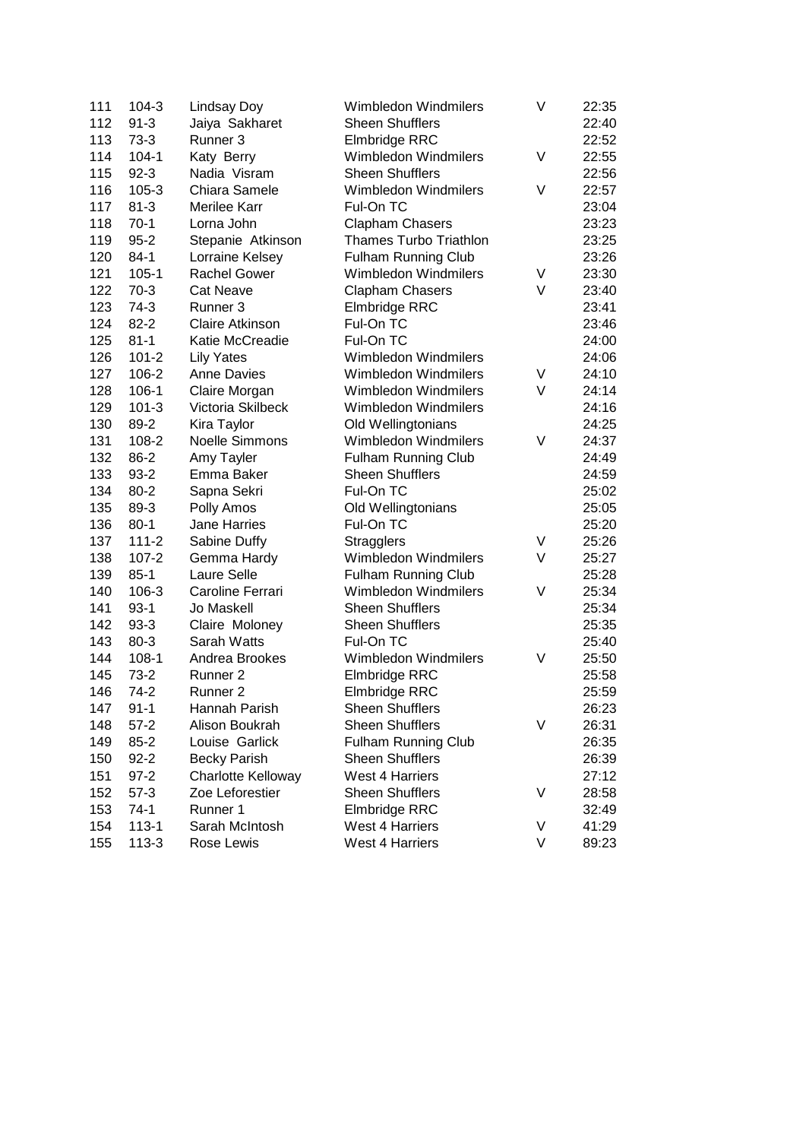| 111 | $104 - 3$ | Lindsay Doy           | <b>Wimbledon Windmilers</b>   | V | 22:35 |
|-----|-----------|-----------------------|-------------------------------|---|-------|
| 112 | $91 - 3$  | Jaiya Sakharet        | <b>Sheen Shufflers</b>        |   | 22:40 |
| 113 | $73-3$    | Runner 3              | Elmbridge RRC                 |   | 22:52 |
| 114 | $104 - 1$ | Katy Berry            | Wimbledon Windmilers          | V | 22:55 |
| 115 | $92-3$    | Nadia Visram          | <b>Sheen Shufflers</b>        |   | 22:56 |
| 116 | $105 - 3$ | Chiara Samele         | Wimbledon Windmilers          | V | 22:57 |
| 117 | $81 - 3$  | Merilee Karr          | Ful-On TC                     |   | 23:04 |
| 118 | $70-1$    | Lorna John            | <b>Clapham Chasers</b>        |   | 23:23 |
| 119 | $95 - 2$  | Stepanie Atkinson     | <b>Thames Turbo Triathlon</b> |   | 23:25 |
| 120 | $84-1$    | Lorraine Kelsey       | <b>Fulham Running Club</b>    |   | 23:26 |
| 121 | $105 - 1$ | <b>Rachel Gower</b>   | Wimbledon Windmilers          | V | 23:30 |
| 122 | $70-3$    | <b>Cat Neave</b>      | <b>Clapham Chasers</b>        | V | 23:40 |
| 123 | $74-3$    | Runner 3              | Elmbridge RRC                 |   | 23:41 |
| 124 | $82 - 2$  | Claire Atkinson       | Ful-On TC                     |   | 23:46 |
| 125 | $81 - 1$  | Katie McCreadie       | Ful-On TC                     |   | 24:00 |
| 126 | $101 - 2$ | <b>Lily Yates</b>     | Wimbledon Windmilers          |   | 24:06 |
| 127 | 106-2     | <b>Anne Davies</b>    | Wimbledon Windmilers          | V | 24:10 |
| 128 | 106-1     | Claire Morgan         | Wimbledon Windmilers          | V | 24:14 |
| 129 | $101 - 3$ | Victoria Skilbeck     | Wimbledon Windmilers          |   | 24:16 |
| 130 | 89-2      | Kira Taylor           | Old Wellingtonians            |   | 24:25 |
| 131 | 108-2     | <b>Noelle Simmons</b> | Wimbledon Windmilers          | V | 24:37 |
| 132 | 86-2      | Amy Tayler            | <b>Fulham Running Club</b>    |   | 24:49 |
| 133 | $93 - 2$  | Emma Baker            | <b>Sheen Shufflers</b>        |   | 24:59 |
| 134 | $80 - 2$  | Sapna Sekri           | Ful-On TC                     |   | 25:02 |
| 135 | 89-3      | Polly Amos            | Old Wellingtonians            |   | 25:05 |
| 136 | $80-1$    | Jane Harries          | Ful-On TC                     |   | 25:20 |
| 137 | $111 - 2$ | Sabine Duffy          | <b>Stragglers</b>             | V | 25:26 |
| 138 | $107 - 2$ | Gemma Hardy           | Wimbledon Windmilers          | V | 25:27 |
| 139 | $85-1$    | Laure Selle           | <b>Fulham Running Club</b>    |   | 25:28 |
| 140 | $106 - 3$ | Caroline Ferrari      | Wimbledon Windmilers          | V | 25:34 |
| 141 | $93-1$    | Jo Maskell            | <b>Sheen Shufflers</b>        |   | 25:34 |
| 142 | $93-3$    | Claire Moloney        | <b>Sheen Shufflers</b>        |   | 25:35 |
| 143 | 80-3      | Sarah Watts           | Ful-On TC                     |   | 25:40 |
| 144 | $108-1$   | Andrea Brookes        | Wimbledon Windmilers          | V | 25:50 |
| 145 | $73-2$    | Runner 2              | Elmbridge RRC                 |   | 25:58 |
| 146 | $74-2$    | Runner <sub>2</sub>   | <b>Elmbridge RRC</b>          |   | 25:59 |
| 147 | $91 - 1$  | Hannah Parish         | Sheen Shufflers               |   | 26:23 |
| 148 | $57 - 2$  | Alison Boukrah        | <b>Sheen Shufflers</b>        | V | 26:31 |
| 149 | $85 - 2$  | Louise Garlick        | <b>Fulham Running Club</b>    |   | 26:35 |
| 150 | $92 - 2$  | <b>Becky Parish</b>   | <b>Sheen Shufflers</b>        |   | 26:39 |
| 151 | $97 - 2$  | Charlotte Kelloway    | <b>West 4 Harriers</b>        |   | 27:12 |
| 152 | $57-3$    | Zoe Leforestier       | <b>Sheen Shufflers</b>        | V | 28:58 |
| 153 | $74-1$    | Runner 1              | Elmbridge RRC                 |   | 32:49 |
| 154 | $113 - 1$ | Sarah McIntosh        | <b>West 4 Harriers</b>        | V | 41:29 |
| 155 | $113-3$   | Rose Lewis            | <b>West 4 Harriers</b>        | V | 89:23 |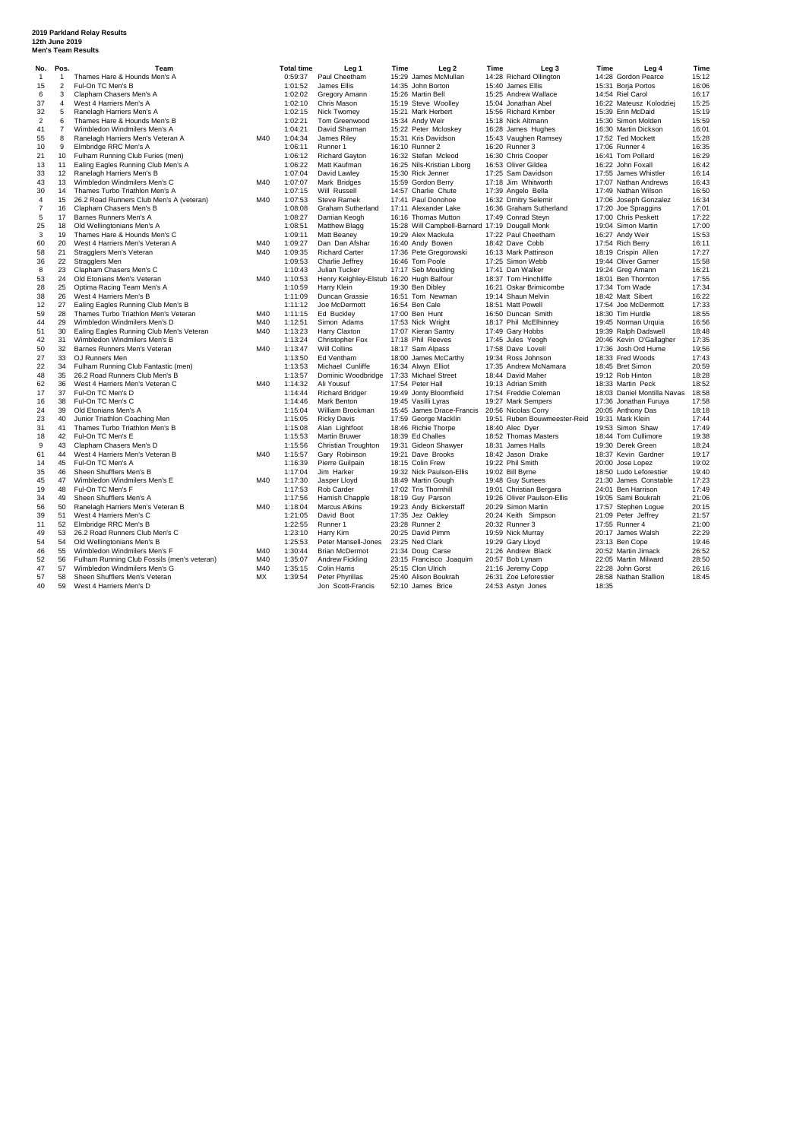## **2019 Parkland Relay Results 12th June 2019 Men's Team Results**

|  |  | <b>Men's Team Results</b> |  |
|--|--|---------------------------|--|

| Thames Hare & Hounds Men's A<br>0:59:37<br>Paul Cheetham<br>15:29 James McMullan<br>14:28 Richard Ollington<br>14:28 Gordon Pearce<br>15:12<br>$\overline{1}$<br>$\mathbf{1}$<br>$\overline{2}$<br>16:06<br>Ful-On TC Men's B<br>1:01:52<br>James Ellis<br>14:35 John Borton<br>15:40 James Ellis<br>15:31 Boria Portos<br>15<br>16:17<br>3<br>Clapham Chasers Men's A<br>1:02:02<br>Gregory Amann<br>15:26 Martin Bell<br>15:25 Andrew Wallace<br>14:54 Riel Carol<br>6<br>15:25<br>37<br>1:02:10<br>4<br>West 4 Harriers Men's A<br>Chris Mason<br>15:19 Steve Woolley<br>15:04 Jonathan Abel<br>16:22 Mateusz Kolodziej<br>15:19<br>5<br>1:02:15<br>Nick Twomev<br>15:39 Erin McDaid<br>32<br>Ranelagh Harriers Men's A<br>15:21 Mark Herbert<br>15:56 Richard Kimber<br>$\overline{2}$<br>1:02:21<br>15:59<br>6<br>Thames Hare & Hounds Men's B<br>Tom Greenwood<br>15:34 Andy Weir<br>15:18 Nick Altmann<br>15:30 Simon Molden<br>$\overline{7}$<br>1:04:21<br>16:01<br>41<br>Wimbledon Windmilers Men's A<br>David Sharman<br>15:22 Peter Mcloskey<br>16:28 James Hughes<br>16:30 Martin Dickson<br>15:28<br>55<br>8<br>Ranelagh Harriers Men's Veteran A<br>M40<br>1:04:34<br>James Rilev<br>15:31 Kris Davidson<br>15:43 Vaughen Ramsey<br>17:52 Ted Mockett<br>9<br>1:06:11<br>16:35<br>10<br>Elmbridge RRC Men's A<br>Runner 1<br>16:10 Runner 2<br>16:20 Runner 3<br>17:06 Runner 4<br>16:29<br>1:06:12<br>16:30 Chris Cooper<br>21<br>10<br>Fulham Running Club Furies (men)<br><b>Richard Gayton</b><br>16:32 Stefan Mcleod<br>16:41 Tom Pollard<br>16:42<br>11<br>Ealing Eagles Running Club Men's A<br>1:06:22<br>Matt Kaufman<br>16:25 Nils-Kristian Liborg<br>16:53 Oliver Gildea<br>13<br>16:22 John Foxall<br>Ranelagh Harriers Men's B<br>1:07:04<br>16:14<br>33<br>12<br>David Lawley<br>15:30 Rick Jenner<br>17:25 Sam Davidson<br>17:55 James Whistler<br>M40<br>16:43<br>43<br>13<br>Wimbledon Windmilers Men's C<br>1:07:07<br>17:18 Jim Whitworth<br>Mark Bridges<br>15:59 Gordon Berry<br>17:07 Nathan Andrews<br>1:07:15<br>16:50<br>30<br>14<br>Thames Turbo Triathlon Men's A<br>Will Russell<br>14:57 Charlie Chute<br>17:39 Angelo Bella<br>17:49 Nathan Wilson<br>15<br>M40<br>1:07:53<br>16:34<br>4<br>26.2 Road Runners Club Men's A (veteran)<br><b>Steve Ramek</b><br>17:41 Paul Donohoe<br>16:32 Dmitry Selemin<br>17:06 Joseph Gonzalez<br>$\overline{7}$<br>17:01<br>Clapham Chasers Men's B<br>1:08:08<br>Graham Sutherland<br>16:36 Graham Sutherland<br>17:20 Joe Spraggins<br>16<br>17:11 Alexander Lake<br>5<br>17:00 Chris Peskett<br>17:22<br>17<br>Barnes Runners Men's A<br>1:08:27<br>Damian Keogh<br>16:16 Thomas Mutton<br>17:49 Conrad Steyn<br>25<br>Old Wellingtonians Men's A<br>1:08:51<br>15:28 Will Campbell-Barnard 17:19 Dougall Monk<br>19:04 Simon Martin<br>17:00<br>18<br><b>Matthew Blagg</b><br>3<br>15:53<br>19<br>Thames Hare & Hounds Men's C<br>1:09:11<br>Matt Beaney<br>19:29 Alex Mackula<br>17:22 Paul Cheetham<br>16:27 Andy Weir<br>60<br>20<br>M40<br>1:09:27<br>Dan Dan Afshar<br>18:42 Dave Cobb<br>17:54 Rich Berry<br>16:11<br>West 4 Harriers Men's Veteran A<br>16:40 Andy Bowen<br>17:27<br>58<br>21<br>Stragglers Men's Veteran<br>M40<br>1:09:35<br><b>Richard Carter</b><br>17:36 Pete Gregorowski<br>16:13 Mark Pattinson<br>18:19 Crispin Allen<br>22<br>1:09:53<br>15:58<br>36<br><b>Stragglers Men</b><br>Charlie Jeffrey<br>16:46 Tom Poole<br>17:25 Simon Webb<br>19:44 Oliver Garner<br>23<br>1:10:43<br>16:21<br>8<br>Clapham Chasers Men's C<br>Julian Tucker<br>17:17 Seb Moulding<br>17:41 Dan Walker<br>19:24 Greg Amann<br>53<br>24<br>Old Etonians Men's Veteran<br>M40<br>1:10:53<br>Henry Keighley-Elstub 16:20 Hugh Balfour<br>18:37 Tom Hinchliffe<br>18:01 Ben Thornton<br>17:55<br>28<br>1:10:59<br>17:34<br>25<br>Optima Racing Team Men's A<br>Harry Klein<br>19:30 Ben Dibley<br>16:21 Oskar Brimicombe<br>17:34 Tom Wade<br>16:22<br>38<br>26<br>West 4 Harriers Men's B<br>1:11:09<br>Duncan Grassie<br>16:51 Tom Newman<br>19:14 Shaun Melvin<br>18:42 Matt Sibert<br>17:33<br>12<br>27<br>Ealing Eagles Running Club Men's B<br>1:11:12<br>Joe McDermott<br>16:54 Ben Cale<br>18:51 Matt Powell<br>17:54 Joe McDermott<br>18:55<br>59<br>28<br>Thames Turbo Triathlon Men's Veteran<br>M40<br>1:11:15<br>Ed Buckley<br>17:00 Ben Hunt<br>16:50 Duncan Smith<br>18:30 Tim Hurdle<br>44<br>29<br>Wimbledon Windmilers Men's D<br>M40<br>1:12:51<br>17:53 Nick Wright<br>18:17 Phil McElhinney<br>19:45 Norman Urquia<br>16:56<br>Simon Adams<br>18:48<br>51<br>30<br>Ealing Eagles Running Club Men's Veteran<br>M40<br>1:13:23<br>Harry Claxton<br>17:07 Kieran Santry<br>17:49 Gary Hobbs<br>19:39 Ralph Dadswell<br>31<br>Wimbledon Windmilers Men's B<br>1:13:24<br>17:35<br>42<br>Christopher Fox<br>17:18 Phil Reeves<br>17:45 Jules Yeogh<br>20:46 Kevin O'Gallagher<br>1:13:47<br>50<br>32<br>Barnes Runners Men's Veteran<br>M40<br>Will Collins<br>18:17 Sam Alpass<br>17:58 Dave Lovell<br>17:36 Josh Ord Hume<br>19:56<br>27<br>17:43<br>33<br>OJ Runners Men<br>1:13:50<br>Ed Ventham<br>18:00 James McCarthy<br>19:34 Ross Johnson<br>18:33 Fred Woods<br>22<br>20:59<br>34<br>Fulham Running Club Fantastic (men)<br>1:13:53<br>Michael Cunliffe<br>16:34 Alwyn Elliot<br>17:35 Andrew McNamara<br>18:45 Bret Simon<br>48<br>35<br>26.2 Road Runners Club Men's B<br>1:13:57<br>Dominic Woodbridge<br>17:33 Michael Street<br>18:44 David Maher<br>18:28<br>19:12 Rob Hinton<br>1:14:32<br>18:52<br>62<br>36<br>West 4 Harriers Men's Veteran C<br>M40<br>Ali Yousuf<br>17:54 Peter Hall<br>19:13 Adrian Smith<br>18:33 Martin Peck<br>17<br>37<br>Ful-On TC Men's D<br>1:14:44<br>17:54 Freddie Coleman<br>18:58<br><b>Richard Bridger</b><br>19:49 Jonty Bloomfield<br>18:03 Daniel Montilla Navas<br>38<br>Ful-On TC Men's C<br>1:14:46<br><b>Mark Benton</b><br>19:27 Mark Sempers<br>17:58<br>16<br>19:45 Vasilli Lyras<br>17:36 Jonathan Furuya<br>18:18<br>24<br>39<br>Old Etonians Men's A<br>1:15:04<br>William Brockman<br>15:45 James Drace-Francis<br>20:56 Nicolas Corry<br>20:05 Anthony Das<br>Junior Triathlon Coaching Men<br>1:15:05<br>19:51 Ruben Bouwmeester-Reid<br>19:31 Mark Klein<br>17:44<br>23<br>40<br><b>Ricky Davis</b><br>17:59 George Macklin<br>17:49<br>31<br>Thames Turbo Triathlon Men's B<br>1:15:08<br>Alan Lightfoot<br>18:46 Richie Thorpe<br>18:40 Alec Dyer<br>19:53 Simon Shaw<br>41<br>19:38<br>18<br>42<br>Ful-On TC Men's E<br>1:15:53<br>Martin Bruwer<br>18:39 Ed Challes<br>18:52 Thomas Masters<br>18:44 Tom Cullimore<br>9<br>Clapham Chasers Men's D<br>1:15:56<br>Christian Troughton<br>18:31 James Halls<br>19:30 Derek Green<br>18:24<br>43<br>19:31 Gideon Shawyer<br>61<br>44<br>West 4 Harriers Men's Veteran B<br>M40<br>1:15:57<br>Gary Robinson<br>19:21 Dave Brooks<br>18:42 Jason Drake<br>18:37 Kevin Gardner<br>19:17<br>19:02<br>14<br>45<br>Ful-On TC Men's A<br>1:16:39<br>Pierre Guilpain<br>18:15 Colin Frew<br>19:22 Phil Smith<br>20:00 Jose Lopez<br>19:40<br>35<br>46<br>Sheen Shufflers Men's B<br>1:17:04<br>Jim Harker<br>19:32 Nick Paulson-Ellis<br>19:02 Bill Byrne<br>18:50 Ludo Leforestier<br>17:23<br>45<br>47<br>Wimbledon Windmilers Men's E<br>M40<br>1:17:30<br>Jasper Lloyd<br>18:49 Martin Gough<br>19:48 Guy Surtees<br>21:30 James Constable<br>17:49<br>19<br>48<br>Ful-On TC Men's F<br>1:17:53<br>Rob Carder<br>17:02 Tris Thornhill<br>19:01 Christian Bergara<br>24:01 Ben Harrison<br>21:06<br>1:17:56<br>19:26 Oliver Paulson-Ellis<br>34<br>49<br>Sheen Shufflers Men's A<br>Hamish Chapple<br>18:19 Guy Parson<br>19:05 Sami Boukrah<br>20:15<br>56<br>50<br>Ranelagh Harriers Men's Veteran B<br>M40<br>1:18:04<br><b>Marcus Atkins</b><br>19:23 Andy Bickerstaff<br>20:29 Simon Martin<br>17:57 Stephen Loque<br>1:21:05<br>21:57<br>39<br>51<br>West 4 Harriers Men's C<br>David Boot<br>17:35 Jez Oakley<br>20:24 Keith Simpson<br>21:09 Peter Jeffrey<br>Elmbridge RRC Men's B<br>1:22:55<br>20:32 Runner 3<br>17:55 Runner 4<br>21:00<br>11<br>52<br>Runner 1<br>23:28 Runner 2<br>22:29<br>49<br>53<br>26.2 Road Runners Club Men's C<br>1:23:10<br>Harry Kim<br>20:25 David Pimm<br>19:59 Nick Murray<br>20:17 James Walsh<br>1:25:53<br>19:46<br>54<br>54<br>Old Wellingtonians Men's B<br>Peter Mansell-Jones<br>23:25 Ned Clark<br>19:29 Gary Lloyd<br>23:13 Ben Cope<br>26:52<br>55<br>M40<br>1:30:44<br>21:26 Andrew Black<br>20:52 Martin Jimack<br>46<br>Wimbledon Windmilers Men's F<br><b>Brian McDermot</b><br>21:34 Doug Carse<br>28:50<br>52<br>56<br>Fulham Running Club Fossils (men's veteran)<br>M40<br>1:35:07<br>Andrew Fickling<br>23:15 Francisco Joaquim<br>20:57 Bob Lynam<br>22:05 Martin Milward<br>26:16<br>47<br>Wimbledon Windmilers Men's G<br>1:35:15<br>57<br>M40<br><b>Colin Harris</b><br>25:15 Clon Ulrich<br>21:16 Jeremy Copp<br>22:28 John Gorst<br>57<br>58<br><b>MX</b><br>Sheen Shufflers Men's Veteran<br>1:39:54<br>Peter Phyrillas<br>28:58 Nathan Stallion<br>18:45<br>25:40 Alison Boukrah<br>26:31 Zoe Leforestier<br>40<br>59<br>52:10 James Brice<br>24:53 Astyn Jones | No. | Pos. | Team                    | <b>Total time</b> | Leg <sub>1</sub>  | Time | Leg <sub>2</sub> | Time | Leg <sub>3</sub> | Time  | Leg 4 | Time |
|---------------------------------------------------------------------------------------------------------------------------------------------------------------------------------------------------------------------------------------------------------------------------------------------------------------------------------------------------------------------------------------------------------------------------------------------------------------------------------------------------------------------------------------------------------------------------------------------------------------------------------------------------------------------------------------------------------------------------------------------------------------------------------------------------------------------------------------------------------------------------------------------------------------------------------------------------------------------------------------------------------------------------------------------------------------------------------------------------------------------------------------------------------------------------------------------------------------------------------------------------------------------------------------------------------------------------------------------------------------------------------------------------------------------------------------------------------------------------------------------------------------------------------------------------------------------------------------------------------------------------------------------------------------------------------------------------------------------------------------------------------------------------------------------------------------------------------------------------------------------------------------------------------------------------------------------------------------------------------------------------------------------------------------------------------------------------------------------------------------------------------------------------------------------------------------------------------------------------------------------------------------------------------------------------------------------------------------------------------------------------------------------------------------------------------------------------------------------------------------------------------------------------------------------------------------------------------------------------------------------------------------------------------------------------------------------------------------------------------------------------------------------------------------------------------------------------------------------------------------------------------------------------------------------------------------------------------------------------------------------------------------------------------------------------------------------------------------------------------------------------------------------------------------------------------------------------------------------------------------------------------------------------------------------------------------------------------------------------------------------------------------------------------------------------------------------------------------------------------------------------------------------------------------------------------------------------------------------------------------------------------------------------------------------------------------------------------------------------------------------------------------------------------------------------------------------------------------------------------------------------------------------------------------------------------------------------------------------------------------------------------------------------------------------------------------------------------------------------------------------------------------------------------------------------------------------------------------------------------------------------------------------------------------------------------------------------------------------------------------------------------------------------------------------------------------------------------------------------------------------------------------------------------------------------------------------------------------------------------------------------------------------------------------------------------------------------------------------------------------------------------------------------------------------------------------------------------------------------------------------------------------------------------------------------------------------------------------------------------------------------------------------------------------------------------------------------------------------------------------------------------------------------------------------------------------------------------------------------------------------------------------------------------------------------------------------------------------------------------------------------------------------------------------------------------------------------------------------------------------------------------------------------------------------------------------------------------------------------------------------------------------------------------------------------------------------------------------------------------------------------------------------------------------------------------------------------------------------------------------------------------------------------------------------------------------------------------------------------------------------------------------------------------------------------------------------------------------------------------------------------------------------------------------------------------------------------------------------------------------------------------------------------------------------------------------------------------------------------------------------------------------------------------------------------------------------------------------------------------------------------------------------------------------------------------------------------------------------------------------------------------------------------------------------------------------------------------------------------------------------------------------------------------------------------------------------------------------------------------------------------------------------------------------------------------------------------------------------------------------------------------------------------------------------------------------------------------------------------------------------------------------------------------------------------------------------------------------------------------------------------------------------------------------------------------------------------------------------------------------------------------------------------------------------------------------------------------------------------------------------------------------------------------------------------------------------------------------------------------------------------------------------------------------------------------------------------------------------------------------------------------------------------------------------------------------------------------------------------------------------------------------------------------------------------------------------------------------------------------------------------------------------------------------------------------------------------------------------------------------------------------------------------------------------------------------------------------------------------------------------------------------------------------------------------------------------------------------------------------------------------------------------------------------------------------------------------------------------------------------------------------------------------------------------------------------------------------------------------------------------------------------------------------------------------------------------------------------------------------------------------------------------------------------------------------------------------------------------------------------------------------------------------------------------------------------------------------------------------------------------------------------------------------------------------------------------------------------------------------------------------------------------------------------------|-----|------|-------------------------|-------------------|-------------------|------|------------------|------|------------------|-------|-------|------|
|                                                                                                                                                                                                                                                                                                                                                                                                                                                                                                                                                                                                                                                                                                                                                                                                                                                                                                                                                                                                                                                                                                                                                                                                                                                                                                                                                                                                                                                                                                                                                                                                                                                                                                                                                                                                                                                                                                                                                                                                                                                                                                                                                                                                                                                                                                                                                                                                                                                                                                                                                                                                                                                                                                                                                                                                                                                                                                                                                                                                                                                                                                                                                                                                                                                                                                                                                                                                                                                                                                                                                                                                                                                                                                                                                                                                                                                                                                                                                                                                                                                                                                                                                                                                                                                                                                                                                                                                                                                                                                                                                                                                                                                                                                                                                                                                                                                                                                                                                                                                                                                                                                                                                                                                                                                                                                                                                                                                                                                                                                                                                                                                                                                                                                                                                                                                                                                                                                                                                                                                                                                                                                                                                                                                                                                                                                                                                                                                                                                                                                                                                                                                                                                                                                                                                                                                                                                                                                                                                                                                                                                                                                                                                                                                                                                                                                                                                                                                                                                                                                                                                                                                                                                                                                                                                                                                                                                                                                                                                                                                                                                                                                                                                                                                                                                                                                                                                                                                                                                                                                                                                                                                                                                                                                                                                                                                                                                                                                                                                                                                                                                                                                                                                                     |     |      |                         |                   |                   |      |                  |      |                  |       |       |      |
|                                                                                                                                                                                                                                                                                                                                                                                                                                                                                                                                                                                                                                                                                                                                                                                                                                                                                                                                                                                                                                                                                                                                                                                                                                                                                                                                                                                                                                                                                                                                                                                                                                                                                                                                                                                                                                                                                                                                                                                                                                                                                                                                                                                                                                                                                                                                                                                                                                                                                                                                                                                                                                                                                                                                                                                                                                                                                                                                                                                                                                                                                                                                                                                                                                                                                                                                                                                                                                                                                                                                                                                                                                                                                                                                                                                                                                                                                                                                                                                                                                                                                                                                                                                                                                                                                                                                                                                                                                                                                                                                                                                                                                                                                                                                                                                                                                                                                                                                                                                                                                                                                                                                                                                                                                                                                                                                                                                                                                                                                                                                                                                                                                                                                                                                                                                                                                                                                                                                                                                                                                                                                                                                                                                                                                                                                                                                                                                                                                                                                                                                                                                                                                                                                                                                                                                                                                                                                                                                                                                                                                                                                                                                                                                                                                                                                                                                                                                                                                                                                                                                                                                                                                                                                                                                                                                                                                                                                                                                                                                                                                                                                                                                                                                                                                                                                                                                                                                                                                                                                                                                                                                                                                                                                                                                                                                                                                                                                                                                                                                                                                                                                                                                                                     |     |      |                         |                   |                   |      |                  |      |                  |       |       |      |
|                                                                                                                                                                                                                                                                                                                                                                                                                                                                                                                                                                                                                                                                                                                                                                                                                                                                                                                                                                                                                                                                                                                                                                                                                                                                                                                                                                                                                                                                                                                                                                                                                                                                                                                                                                                                                                                                                                                                                                                                                                                                                                                                                                                                                                                                                                                                                                                                                                                                                                                                                                                                                                                                                                                                                                                                                                                                                                                                                                                                                                                                                                                                                                                                                                                                                                                                                                                                                                                                                                                                                                                                                                                                                                                                                                                                                                                                                                                                                                                                                                                                                                                                                                                                                                                                                                                                                                                                                                                                                                                                                                                                                                                                                                                                                                                                                                                                                                                                                                                                                                                                                                                                                                                                                                                                                                                                                                                                                                                                                                                                                                                                                                                                                                                                                                                                                                                                                                                                                                                                                                                                                                                                                                                                                                                                                                                                                                                                                                                                                                                                                                                                                                                                                                                                                                                                                                                                                                                                                                                                                                                                                                                                                                                                                                                                                                                                                                                                                                                                                                                                                                                                                                                                                                                                                                                                                                                                                                                                                                                                                                                                                                                                                                                                                                                                                                                                                                                                                                                                                                                                                                                                                                                                                                                                                                                                                                                                                                                                                                                                                                                                                                                                                                     |     |      |                         |                   |                   |      |                  |      |                  |       |       |      |
|                                                                                                                                                                                                                                                                                                                                                                                                                                                                                                                                                                                                                                                                                                                                                                                                                                                                                                                                                                                                                                                                                                                                                                                                                                                                                                                                                                                                                                                                                                                                                                                                                                                                                                                                                                                                                                                                                                                                                                                                                                                                                                                                                                                                                                                                                                                                                                                                                                                                                                                                                                                                                                                                                                                                                                                                                                                                                                                                                                                                                                                                                                                                                                                                                                                                                                                                                                                                                                                                                                                                                                                                                                                                                                                                                                                                                                                                                                                                                                                                                                                                                                                                                                                                                                                                                                                                                                                                                                                                                                                                                                                                                                                                                                                                                                                                                                                                                                                                                                                                                                                                                                                                                                                                                                                                                                                                                                                                                                                                                                                                                                                                                                                                                                                                                                                                                                                                                                                                                                                                                                                                                                                                                                                                                                                                                                                                                                                                                                                                                                                                                                                                                                                                                                                                                                                                                                                                                                                                                                                                                                                                                                                                                                                                                                                                                                                                                                                                                                                                                                                                                                                                                                                                                                                                                                                                                                                                                                                                                                                                                                                                                                                                                                                                                                                                                                                                                                                                                                                                                                                                                                                                                                                                                                                                                                                                                                                                                                                                                                                                                                                                                                                                                                     |     |      |                         |                   |                   |      |                  |      |                  |       |       |      |
|                                                                                                                                                                                                                                                                                                                                                                                                                                                                                                                                                                                                                                                                                                                                                                                                                                                                                                                                                                                                                                                                                                                                                                                                                                                                                                                                                                                                                                                                                                                                                                                                                                                                                                                                                                                                                                                                                                                                                                                                                                                                                                                                                                                                                                                                                                                                                                                                                                                                                                                                                                                                                                                                                                                                                                                                                                                                                                                                                                                                                                                                                                                                                                                                                                                                                                                                                                                                                                                                                                                                                                                                                                                                                                                                                                                                                                                                                                                                                                                                                                                                                                                                                                                                                                                                                                                                                                                                                                                                                                                                                                                                                                                                                                                                                                                                                                                                                                                                                                                                                                                                                                                                                                                                                                                                                                                                                                                                                                                                                                                                                                                                                                                                                                                                                                                                                                                                                                                                                                                                                                                                                                                                                                                                                                                                                                                                                                                                                                                                                                                                                                                                                                                                                                                                                                                                                                                                                                                                                                                                                                                                                                                                                                                                                                                                                                                                                                                                                                                                                                                                                                                                                                                                                                                                                                                                                                                                                                                                                                                                                                                                                                                                                                                                                                                                                                                                                                                                                                                                                                                                                                                                                                                                                                                                                                                                                                                                                                                                                                                                                                                                                                                                                                     |     |      |                         |                   |                   |      |                  |      |                  |       |       |      |
|                                                                                                                                                                                                                                                                                                                                                                                                                                                                                                                                                                                                                                                                                                                                                                                                                                                                                                                                                                                                                                                                                                                                                                                                                                                                                                                                                                                                                                                                                                                                                                                                                                                                                                                                                                                                                                                                                                                                                                                                                                                                                                                                                                                                                                                                                                                                                                                                                                                                                                                                                                                                                                                                                                                                                                                                                                                                                                                                                                                                                                                                                                                                                                                                                                                                                                                                                                                                                                                                                                                                                                                                                                                                                                                                                                                                                                                                                                                                                                                                                                                                                                                                                                                                                                                                                                                                                                                                                                                                                                                                                                                                                                                                                                                                                                                                                                                                                                                                                                                                                                                                                                                                                                                                                                                                                                                                                                                                                                                                                                                                                                                                                                                                                                                                                                                                                                                                                                                                                                                                                                                                                                                                                                                                                                                                                                                                                                                                                                                                                                                                                                                                                                                                                                                                                                                                                                                                                                                                                                                                                                                                                                                                                                                                                                                                                                                                                                                                                                                                                                                                                                                                                                                                                                                                                                                                                                                                                                                                                                                                                                                                                                                                                                                                                                                                                                                                                                                                                                                                                                                                                                                                                                                                                                                                                                                                                                                                                                                                                                                                                                                                                                                                                                     |     |      |                         |                   |                   |      |                  |      |                  |       |       |      |
|                                                                                                                                                                                                                                                                                                                                                                                                                                                                                                                                                                                                                                                                                                                                                                                                                                                                                                                                                                                                                                                                                                                                                                                                                                                                                                                                                                                                                                                                                                                                                                                                                                                                                                                                                                                                                                                                                                                                                                                                                                                                                                                                                                                                                                                                                                                                                                                                                                                                                                                                                                                                                                                                                                                                                                                                                                                                                                                                                                                                                                                                                                                                                                                                                                                                                                                                                                                                                                                                                                                                                                                                                                                                                                                                                                                                                                                                                                                                                                                                                                                                                                                                                                                                                                                                                                                                                                                                                                                                                                                                                                                                                                                                                                                                                                                                                                                                                                                                                                                                                                                                                                                                                                                                                                                                                                                                                                                                                                                                                                                                                                                                                                                                                                                                                                                                                                                                                                                                                                                                                                                                                                                                                                                                                                                                                                                                                                                                                                                                                                                                                                                                                                                                                                                                                                                                                                                                                                                                                                                                                                                                                                                                                                                                                                                                                                                                                                                                                                                                                                                                                                                                                                                                                                                                                                                                                                                                                                                                                                                                                                                                                                                                                                                                                                                                                                                                                                                                                                                                                                                                                                                                                                                                                                                                                                                                                                                                                                                                                                                                                                                                                                                                                                     |     |      |                         |                   |                   |      |                  |      |                  |       |       |      |
|                                                                                                                                                                                                                                                                                                                                                                                                                                                                                                                                                                                                                                                                                                                                                                                                                                                                                                                                                                                                                                                                                                                                                                                                                                                                                                                                                                                                                                                                                                                                                                                                                                                                                                                                                                                                                                                                                                                                                                                                                                                                                                                                                                                                                                                                                                                                                                                                                                                                                                                                                                                                                                                                                                                                                                                                                                                                                                                                                                                                                                                                                                                                                                                                                                                                                                                                                                                                                                                                                                                                                                                                                                                                                                                                                                                                                                                                                                                                                                                                                                                                                                                                                                                                                                                                                                                                                                                                                                                                                                                                                                                                                                                                                                                                                                                                                                                                                                                                                                                                                                                                                                                                                                                                                                                                                                                                                                                                                                                                                                                                                                                                                                                                                                                                                                                                                                                                                                                                                                                                                                                                                                                                                                                                                                                                                                                                                                                                                                                                                                                                                                                                                                                                                                                                                                                                                                                                                                                                                                                                                                                                                                                                                                                                                                                                                                                                                                                                                                                                                                                                                                                                                                                                                                                                                                                                                                                                                                                                                                                                                                                                                                                                                                                                                                                                                                                                                                                                                                                                                                                                                                                                                                                                                                                                                                                                                                                                                                                                                                                                                                                                                                                                                                     |     |      |                         |                   |                   |      |                  |      |                  |       |       |      |
|                                                                                                                                                                                                                                                                                                                                                                                                                                                                                                                                                                                                                                                                                                                                                                                                                                                                                                                                                                                                                                                                                                                                                                                                                                                                                                                                                                                                                                                                                                                                                                                                                                                                                                                                                                                                                                                                                                                                                                                                                                                                                                                                                                                                                                                                                                                                                                                                                                                                                                                                                                                                                                                                                                                                                                                                                                                                                                                                                                                                                                                                                                                                                                                                                                                                                                                                                                                                                                                                                                                                                                                                                                                                                                                                                                                                                                                                                                                                                                                                                                                                                                                                                                                                                                                                                                                                                                                                                                                                                                                                                                                                                                                                                                                                                                                                                                                                                                                                                                                                                                                                                                                                                                                                                                                                                                                                                                                                                                                                                                                                                                                                                                                                                                                                                                                                                                                                                                                                                                                                                                                                                                                                                                                                                                                                                                                                                                                                                                                                                                                                                                                                                                                                                                                                                                                                                                                                                                                                                                                                                                                                                                                                                                                                                                                                                                                                                                                                                                                                                                                                                                                                                                                                                                                                                                                                                                                                                                                                                                                                                                                                                                                                                                                                                                                                                                                                                                                                                                                                                                                                                                                                                                                                                                                                                                                                                                                                                                                                                                                                                                                                                                                                                                     |     |      |                         |                   |                   |      |                  |      |                  |       |       |      |
|                                                                                                                                                                                                                                                                                                                                                                                                                                                                                                                                                                                                                                                                                                                                                                                                                                                                                                                                                                                                                                                                                                                                                                                                                                                                                                                                                                                                                                                                                                                                                                                                                                                                                                                                                                                                                                                                                                                                                                                                                                                                                                                                                                                                                                                                                                                                                                                                                                                                                                                                                                                                                                                                                                                                                                                                                                                                                                                                                                                                                                                                                                                                                                                                                                                                                                                                                                                                                                                                                                                                                                                                                                                                                                                                                                                                                                                                                                                                                                                                                                                                                                                                                                                                                                                                                                                                                                                                                                                                                                                                                                                                                                                                                                                                                                                                                                                                                                                                                                                                                                                                                                                                                                                                                                                                                                                                                                                                                                                                                                                                                                                                                                                                                                                                                                                                                                                                                                                                                                                                                                                                                                                                                                                                                                                                                                                                                                                                                                                                                                                                                                                                                                                                                                                                                                                                                                                                                                                                                                                                                                                                                                                                                                                                                                                                                                                                                                                                                                                                                                                                                                                                                                                                                                                                                                                                                                                                                                                                                                                                                                                                                                                                                                                                                                                                                                                                                                                                                                                                                                                                                                                                                                                                                                                                                                                                                                                                                                                                                                                                                                                                                                                                                                     |     |      |                         |                   |                   |      |                  |      |                  |       |       |      |
|                                                                                                                                                                                                                                                                                                                                                                                                                                                                                                                                                                                                                                                                                                                                                                                                                                                                                                                                                                                                                                                                                                                                                                                                                                                                                                                                                                                                                                                                                                                                                                                                                                                                                                                                                                                                                                                                                                                                                                                                                                                                                                                                                                                                                                                                                                                                                                                                                                                                                                                                                                                                                                                                                                                                                                                                                                                                                                                                                                                                                                                                                                                                                                                                                                                                                                                                                                                                                                                                                                                                                                                                                                                                                                                                                                                                                                                                                                                                                                                                                                                                                                                                                                                                                                                                                                                                                                                                                                                                                                                                                                                                                                                                                                                                                                                                                                                                                                                                                                                                                                                                                                                                                                                                                                                                                                                                                                                                                                                                                                                                                                                                                                                                                                                                                                                                                                                                                                                                                                                                                                                                                                                                                                                                                                                                                                                                                                                                                                                                                                                                                                                                                                                                                                                                                                                                                                                                                                                                                                                                                                                                                                                                                                                                                                                                                                                                                                                                                                                                                                                                                                                                                                                                                                                                                                                                                                                                                                                                                                                                                                                                                                                                                                                                                                                                                                                                                                                                                                                                                                                                                                                                                                                                                                                                                                                                                                                                                                                                                                                                                                                                                                                                                                     |     |      |                         |                   |                   |      |                  |      |                  |       |       |      |
|                                                                                                                                                                                                                                                                                                                                                                                                                                                                                                                                                                                                                                                                                                                                                                                                                                                                                                                                                                                                                                                                                                                                                                                                                                                                                                                                                                                                                                                                                                                                                                                                                                                                                                                                                                                                                                                                                                                                                                                                                                                                                                                                                                                                                                                                                                                                                                                                                                                                                                                                                                                                                                                                                                                                                                                                                                                                                                                                                                                                                                                                                                                                                                                                                                                                                                                                                                                                                                                                                                                                                                                                                                                                                                                                                                                                                                                                                                                                                                                                                                                                                                                                                                                                                                                                                                                                                                                                                                                                                                                                                                                                                                                                                                                                                                                                                                                                                                                                                                                                                                                                                                                                                                                                                                                                                                                                                                                                                                                                                                                                                                                                                                                                                                                                                                                                                                                                                                                                                                                                                                                                                                                                                                                                                                                                                                                                                                                                                                                                                                                                                                                                                                                                                                                                                                                                                                                                                                                                                                                                                                                                                                                                                                                                                                                                                                                                                                                                                                                                                                                                                                                                                                                                                                                                                                                                                                                                                                                                                                                                                                                                                                                                                                                                                                                                                                                                                                                                                                                                                                                                                                                                                                                                                                                                                                                                                                                                                                                                                                                                                                                                                                                                                                     |     |      |                         |                   |                   |      |                  |      |                  |       |       |      |
|                                                                                                                                                                                                                                                                                                                                                                                                                                                                                                                                                                                                                                                                                                                                                                                                                                                                                                                                                                                                                                                                                                                                                                                                                                                                                                                                                                                                                                                                                                                                                                                                                                                                                                                                                                                                                                                                                                                                                                                                                                                                                                                                                                                                                                                                                                                                                                                                                                                                                                                                                                                                                                                                                                                                                                                                                                                                                                                                                                                                                                                                                                                                                                                                                                                                                                                                                                                                                                                                                                                                                                                                                                                                                                                                                                                                                                                                                                                                                                                                                                                                                                                                                                                                                                                                                                                                                                                                                                                                                                                                                                                                                                                                                                                                                                                                                                                                                                                                                                                                                                                                                                                                                                                                                                                                                                                                                                                                                                                                                                                                                                                                                                                                                                                                                                                                                                                                                                                                                                                                                                                                                                                                                                                                                                                                                                                                                                                                                                                                                                                                                                                                                                                                                                                                                                                                                                                                                                                                                                                                                                                                                                                                                                                                                                                                                                                                                                                                                                                                                                                                                                                                                                                                                                                                                                                                                                                                                                                                                                                                                                                                                                                                                                                                                                                                                                                                                                                                                                                                                                                                                                                                                                                                                                                                                                                                                                                                                                                                                                                                                                                                                                                                                                     |     |      |                         |                   |                   |      |                  |      |                  |       |       |      |
|                                                                                                                                                                                                                                                                                                                                                                                                                                                                                                                                                                                                                                                                                                                                                                                                                                                                                                                                                                                                                                                                                                                                                                                                                                                                                                                                                                                                                                                                                                                                                                                                                                                                                                                                                                                                                                                                                                                                                                                                                                                                                                                                                                                                                                                                                                                                                                                                                                                                                                                                                                                                                                                                                                                                                                                                                                                                                                                                                                                                                                                                                                                                                                                                                                                                                                                                                                                                                                                                                                                                                                                                                                                                                                                                                                                                                                                                                                                                                                                                                                                                                                                                                                                                                                                                                                                                                                                                                                                                                                                                                                                                                                                                                                                                                                                                                                                                                                                                                                                                                                                                                                                                                                                                                                                                                                                                                                                                                                                                                                                                                                                                                                                                                                                                                                                                                                                                                                                                                                                                                                                                                                                                                                                                                                                                                                                                                                                                                                                                                                                                                                                                                                                                                                                                                                                                                                                                                                                                                                                                                                                                                                                                                                                                                                                                                                                                                                                                                                                                                                                                                                                                                                                                                                                                                                                                                                                                                                                                                                                                                                                                                                                                                                                                                                                                                                                                                                                                                                                                                                                                                                                                                                                                                                                                                                                                                                                                                                                                                                                                                                                                                                                                                                     |     |      |                         |                   |                   |      |                  |      |                  |       |       |      |
|                                                                                                                                                                                                                                                                                                                                                                                                                                                                                                                                                                                                                                                                                                                                                                                                                                                                                                                                                                                                                                                                                                                                                                                                                                                                                                                                                                                                                                                                                                                                                                                                                                                                                                                                                                                                                                                                                                                                                                                                                                                                                                                                                                                                                                                                                                                                                                                                                                                                                                                                                                                                                                                                                                                                                                                                                                                                                                                                                                                                                                                                                                                                                                                                                                                                                                                                                                                                                                                                                                                                                                                                                                                                                                                                                                                                                                                                                                                                                                                                                                                                                                                                                                                                                                                                                                                                                                                                                                                                                                                                                                                                                                                                                                                                                                                                                                                                                                                                                                                                                                                                                                                                                                                                                                                                                                                                                                                                                                                                                                                                                                                                                                                                                                                                                                                                                                                                                                                                                                                                                                                                                                                                                                                                                                                                                                                                                                                                                                                                                                                                                                                                                                                                                                                                                                                                                                                                                                                                                                                                                                                                                                                                                                                                                                                                                                                                                                                                                                                                                                                                                                                                                                                                                                                                                                                                                                                                                                                                                                                                                                                                                                                                                                                                                                                                                                                                                                                                                                                                                                                                                                                                                                                                                                                                                                                                                                                                                                                                                                                                                                                                                                                                                                     |     |      |                         |                   |                   |      |                  |      |                  |       |       |      |
|                                                                                                                                                                                                                                                                                                                                                                                                                                                                                                                                                                                                                                                                                                                                                                                                                                                                                                                                                                                                                                                                                                                                                                                                                                                                                                                                                                                                                                                                                                                                                                                                                                                                                                                                                                                                                                                                                                                                                                                                                                                                                                                                                                                                                                                                                                                                                                                                                                                                                                                                                                                                                                                                                                                                                                                                                                                                                                                                                                                                                                                                                                                                                                                                                                                                                                                                                                                                                                                                                                                                                                                                                                                                                                                                                                                                                                                                                                                                                                                                                                                                                                                                                                                                                                                                                                                                                                                                                                                                                                                                                                                                                                                                                                                                                                                                                                                                                                                                                                                                                                                                                                                                                                                                                                                                                                                                                                                                                                                                                                                                                                                                                                                                                                                                                                                                                                                                                                                                                                                                                                                                                                                                                                                                                                                                                                                                                                                                                                                                                                                                                                                                                                                                                                                                                                                                                                                                                                                                                                                                                                                                                                                                                                                                                                                                                                                                                                                                                                                                                                                                                                                                                                                                                                                                                                                                                                                                                                                                                                                                                                                                                                                                                                                                                                                                                                                                                                                                                                                                                                                                                                                                                                                                                                                                                                                                                                                                                                                                                                                                                                                                                                                                                                     |     |      |                         |                   |                   |      |                  |      |                  |       |       |      |
|                                                                                                                                                                                                                                                                                                                                                                                                                                                                                                                                                                                                                                                                                                                                                                                                                                                                                                                                                                                                                                                                                                                                                                                                                                                                                                                                                                                                                                                                                                                                                                                                                                                                                                                                                                                                                                                                                                                                                                                                                                                                                                                                                                                                                                                                                                                                                                                                                                                                                                                                                                                                                                                                                                                                                                                                                                                                                                                                                                                                                                                                                                                                                                                                                                                                                                                                                                                                                                                                                                                                                                                                                                                                                                                                                                                                                                                                                                                                                                                                                                                                                                                                                                                                                                                                                                                                                                                                                                                                                                                                                                                                                                                                                                                                                                                                                                                                                                                                                                                                                                                                                                                                                                                                                                                                                                                                                                                                                                                                                                                                                                                                                                                                                                                                                                                                                                                                                                                                                                                                                                                                                                                                                                                                                                                                                                                                                                                                                                                                                                                                                                                                                                                                                                                                                                                                                                                                                                                                                                                                                                                                                                                                                                                                                                                                                                                                                                                                                                                                                                                                                                                                                                                                                                                                                                                                                                                                                                                                                                                                                                                                                                                                                                                                                                                                                                                                                                                                                                                                                                                                                                                                                                                                                                                                                                                                                                                                                                                                                                                                                                                                                                                                                                     |     |      |                         |                   |                   |      |                  |      |                  |       |       |      |
|                                                                                                                                                                                                                                                                                                                                                                                                                                                                                                                                                                                                                                                                                                                                                                                                                                                                                                                                                                                                                                                                                                                                                                                                                                                                                                                                                                                                                                                                                                                                                                                                                                                                                                                                                                                                                                                                                                                                                                                                                                                                                                                                                                                                                                                                                                                                                                                                                                                                                                                                                                                                                                                                                                                                                                                                                                                                                                                                                                                                                                                                                                                                                                                                                                                                                                                                                                                                                                                                                                                                                                                                                                                                                                                                                                                                                                                                                                                                                                                                                                                                                                                                                                                                                                                                                                                                                                                                                                                                                                                                                                                                                                                                                                                                                                                                                                                                                                                                                                                                                                                                                                                                                                                                                                                                                                                                                                                                                                                                                                                                                                                                                                                                                                                                                                                                                                                                                                                                                                                                                                                                                                                                                                                                                                                                                                                                                                                                                                                                                                                                                                                                                                                                                                                                                                                                                                                                                                                                                                                                                                                                                                                                                                                                                                                                                                                                                                                                                                                                                                                                                                                                                                                                                                                                                                                                                                                                                                                                                                                                                                                                                                                                                                                                                                                                                                                                                                                                                                                                                                                                                                                                                                                                                                                                                                                                                                                                                                                                                                                                                                                                                                                                                                     |     |      |                         |                   |                   |      |                  |      |                  |       |       |      |
|                                                                                                                                                                                                                                                                                                                                                                                                                                                                                                                                                                                                                                                                                                                                                                                                                                                                                                                                                                                                                                                                                                                                                                                                                                                                                                                                                                                                                                                                                                                                                                                                                                                                                                                                                                                                                                                                                                                                                                                                                                                                                                                                                                                                                                                                                                                                                                                                                                                                                                                                                                                                                                                                                                                                                                                                                                                                                                                                                                                                                                                                                                                                                                                                                                                                                                                                                                                                                                                                                                                                                                                                                                                                                                                                                                                                                                                                                                                                                                                                                                                                                                                                                                                                                                                                                                                                                                                                                                                                                                                                                                                                                                                                                                                                                                                                                                                                                                                                                                                                                                                                                                                                                                                                                                                                                                                                                                                                                                                                                                                                                                                                                                                                                                                                                                                                                                                                                                                                                                                                                                                                                                                                                                                                                                                                                                                                                                                                                                                                                                                                                                                                                                                                                                                                                                                                                                                                                                                                                                                                                                                                                                                                                                                                                                                                                                                                                                                                                                                                                                                                                                                                                                                                                                                                                                                                                                                                                                                                                                                                                                                                                                                                                                                                                                                                                                                                                                                                                                                                                                                                                                                                                                                                                                                                                                                                                                                                                                                                                                                                                                                                                                                                                                     |     |      |                         |                   |                   |      |                  |      |                  |       |       |      |
|                                                                                                                                                                                                                                                                                                                                                                                                                                                                                                                                                                                                                                                                                                                                                                                                                                                                                                                                                                                                                                                                                                                                                                                                                                                                                                                                                                                                                                                                                                                                                                                                                                                                                                                                                                                                                                                                                                                                                                                                                                                                                                                                                                                                                                                                                                                                                                                                                                                                                                                                                                                                                                                                                                                                                                                                                                                                                                                                                                                                                                                                                                                                                                                                                                                                                                                                                                                                                                                                                                                                                                                                                                                                                                                                                                                                                                                                                                                                                                                                                                                                                                                                                                                                                                                                                                                                                                                                                                                                                                                                                                                                                                                                                                                                                                                                                                                                                                                                                                                                                                                                                                                                                                                                                                                                                                                                                                                                                                                                                                                                                                                                                                                                                                                                                                                                                                                                                                                                                                                                                                                                                                                                                                                                                                                                                                                                                                                                                                                                                                                                                                                                                                                                                                                                                                                                                                                                                                                                                                                                                                                                                                                                                                                                                                                                                                                                                                                                                                                                                                                                                                                                                                                                                                                                                                                                                                                                                                                                                                                                                                                                                                                                                                                                                                                                                                                                                                                                                                                                                                                                                                                                                                                                                                                                                                                                                                                                                                                                                                                                                                                                                                                                                                     |     |      |                         |                   |                   |      |                  |      |                  |       |       |      |
|                                                                                                                                                                                                                                                                                                                                                                                                                                                                                                                                                                                                                                                                                                                                                                                                                                                                                                                                                                                                                                                                                                                                                                                                                                                                                                                                                                                                                                                                                                                                                                                                                                                                                                                                                                                                                                                                                                                                                                                                                                                                                                                                                                                                                                                                                                                                                                                                                                                                                                                                                                                                                                                                                                                                                                                                                                                                                                                                                                                                                                                                                                                                                                                                                                                                                                                                                                                                                                                                                                                                                                                                                                                                                                                                                                                                                                                                                                                                                                                                                                                                                                                                                                                                                                                                                                                                                                                                                                                                                                                                                                                                                                                                                                                                                                                                                                                                                                                                                                                                                                                                                                                                                                                                                                                                                                                                                                                                                                                                                                                                                                                                                                                                                                                                                                                                                                                                                                                                                                                                                                                                                                                                                                                                                                                                                                                                                                                                                                                                                                                                                                                                                                                                                                                                                                                                                                                                                                                                                                                                                                                                                                                                                                                                                                                                                                                                                                                                                                                                                                                                                                                                                                                                                                                                                                                                                                                                                                                                                                                                                                                                                                                                                                                                                                                                                                                                                                                                                                                                                                                                                                                                                                                                                                                                                                                                                                                                                                                                                                                                                                                                                                                                                                     |     |      |                         |                   |                   |      |                  |      |                  |       |       |      |
|                                                                                                                                                                                                                                                                                                                                                                                                                                                                                                                                                                                                                                                                                                                                                                                                                                                                                                                                                                                                                                                                                                                                                                                                                                                                                                                                                                                                                                                                                                                                                                                                                                                                                                                                                                                                                                                                                                                                                                                                                                                                                                                                                                                                                                                                                                                                                                                                                                                                                                                                                                                                                                                                                                                                                                                                                                                                                                                                                                                                                                                                                                                                                                                                                                                                                                                                                                                                                                                                                                                                                                                                                                                                                                                                                                                                                                                                                                                                                                                                                                                                                                                                                                                                                                                                                                                                                                                                                                                                                                                                                                                                                                                                                                                                                                                                                                                                                                                                                                                                                                                                                                                                                                                                                                                                                                                                                                                                                                                                                                                                                                                                                                                                                                                                                                                                                                                                                                                                                                                                                                                                                                                                                                                                                                                                                                                                                                                                                                                                                                                                                                                                                                                                                                                                                                                                                                                                                                                                                                                                                                                                                                                                                                                                                                                                                                                                                                                                                                                                                                                                                                                                                                                                                                                                                                                                                                                                                                                                                                                                                                                                                                                                                                                                                                                                                                                                                                                                                                                                                                                                                                                                                                                                                                                                                                                                                                                                                                                                                                                                                                                                                                                                                                     |     |      |                         |                   |                   |      |                  |      |                  |       |       |      |
|                                                                                                                                                                                                                                                                                                                                                                                                                                                                                                                                                                                                                                                                                                                                                                                                                                                                                                                                                                                                                                                                                                                                                                                                                                                                                                                                                                                                                                                                                                                                                                                                                                                                                                                                                                                                                                                                                                                                                                                                                                                                                                                                                                                                                                                                                                                                                                                                                                                                                                                                                                                                                                                                                                                                                                                                                                                                                                                                                                                                                                                                                                                                                                                                                                                                                                                                                                                                                                                                                                                                                                                                                                                                                                                                                                                                                                                                                                                                                                                                                                                                                                                                                                                                                                                                                                                                                                                                                                                                                                                                                                                                                                                                                                                                                                                                                                                                                                                                                                                                                                                                                                                                                                                                                                                                                                                                                                                                                                                                                                                                                                                                                                                                                                                                                                                                                                                                                                                                                                                                                                                                                                                                                                                                                                                                                                                                                                                                                                                                                                                                                                                                                                                                                                                                                                                                                                                                                                                                                                                                                                                                                                                                                                                                                                                                                                                                                                                                                                                                                                                                                                                                                                                                                                                                                                                                                                                                                                                                                                                                                                                                                                                                                                                                                                                                                                                                                                                                                                                                                                                                                                                                                                                                                                                                                                                                                                                                                                                                                                                                                                                                                                                                                                     |     |      |                         |                   |                   |      |                  |      |                  |       |       |      |
|                                                                                                                                                                                                                                                                                                                                                                                                                                                                                                                                                                                                                                                                                                                                                                                                                                                                                                                                                                                                                                                                                                                                                                                                                                                                                                                                                                                                                                                                                                                                                                                                                                                                                                                                                                                                                                                                                                                                                                                                                                                                                                                                                                                                                                                                                                                                                                                                                                                                                                                                                                                                                                                                                                                                                                                                                                                                                                                                                                                                                                                                                                                                                                                                                                                                                                                                                                                                                                                                                                                                                                                                                                                                                                                                                                                                                                                                                                                                                                                                                                                                                                                                                                                                                                                                                                                                                                                                                                                                                                                                                                                                                                                                                                                                                                                                                                                                                                                                                                                                                                                                                                                                                                                                                                                                                                                                                                                                                                                                                                                                                                                                                                                                                                                                                                                                                                                                                                                                                                                                                                                                                                                                                                                                                                                                                                                                                                                                                                                                                                                                                                                                                                                                                                                                                                                                                                                                                                                                                                                                                                                                                                                                                                                                                                                                                                                                                                                                                                                                                                                                                                                                                                                                                                                                                                                                                                                                                                                                                                                                                                                                                                                                                                                                                                                                                                                                                                                                                                                                                                                                                                                                                                                                                                                                                                                                                                                                                                                                                                                                                                                                                                                                                                     |     |      |                         |                   |                   |      |                  |      |                  |       |       |      |
|                                                                                                                                                                                                                                                                                                                                                                                                                                                                                                                                                                                                                                                                                                                                                                                                                                                                                                                                                                                                                                                                                                                                                                                                                                                                                                                                                                                                                                                                                                                                                                                                                                                                                                                                                                                                                                                                                                                                                                                                                                                                                                                                                                                                                                                                                                                                                                                                                                                                                                                                                                                                                                                                                                                                                                                                                                                                                                                                                                                                                                                                                                                                                                                                                                                                                                                                                                                                                                                                                                                                                                                                                                                                                                                                                                                                                                                                                                                                                                                                                                                                                                                                                                                                                                                                                                                                                                                                                                                                                                                                                                                                                                                                                                                                                                                                                                                                                                                                                                                                                                                                                                                                                                                                                                                                                                                                                                                                                                                                                                                                                                                                                                                                                                                                                                                                                                                                                                                                                                                                                                                                                                                                                                                                                                                                                                                                                                                                                                                                                                                                                                                                                                                                                                                                                                                                                                                                                                                                                                                                                                                                                                                                                                                                                                                                                                                                                                                                                                                                                                                                                                                                                                                                                                                                                                                                                                                                                                                                                                                                                                                                                                                                                                                                                                                                                                                                                                                                                                                                                                                                                                                                                                                                                                                                                                                                                                                                                                                                                                                                                                                                                                                                                                     |     |      |                         |                   |                   |      |                  |      |                  |       |       |      |
|                                                                                                                                                                                                                                                                                                                                                                                                                                                                                                                                                                                                                                                                                                                                                                                                                                                                                                                                                                                                                                                                                                                                                                                                                                                                                                                                                                                                                                                                                                                                                                                                                                                                                                                                                                                                                                                                                                                                                                                                                                                                                                                                                                                                                                                                                                                                                                                                                                                                                                                                                                                                                                                                                                                                                                                                                                                                                                                                                                                                                                                                                                                                                                                                                                                                                                                                                                                                                                                                                                                                                                                                                                                                                                                                                                                                                                                                                                                                                                                                                                                                                                                                                                                                                                                                                                                                                                                                                                                                                                                                                                                                                                                                                                                                                                                                                                                                                                                                                                                                                                                                                                                                                                                                                                                                                                                                                                                                                                                                                                                                                                                                                                                                                                                                                                                                                                                                                                                                                                                                                                                                                                                                                                                                                                                                                                                                                                                                                                                                                                                                                                                                                                                                                                                                                                                                                                                                                                                                                                                                                                                                                                                                                                                                                                                                                                                                                                                                                                                                                                                                                                                                                                                                                                                                                                                                                                                                                                                                                                                                                                                                                                                                                                                                                                                                                                                                                                                                                                                                                                                                                                                                                                                                                                                                                                                                                                                                                                                                                                                                                                                                                                                                                                     |     |      |                         |                   |                   |      |                  |      |                  |       |       |      |
|                                                                                                                                                                                                                                                                                                                                                                                                                                                                                                                                                                                                                                                                                                                                                                                                                                                                                                                                                                                                                                                                                                                                                                                                                                                                                                                                                                                                                                                                                                                                                                                                                                                                                                                                                                                                                                                                                                                                                                                                                                                                                                                                                                                                                                                                                                                                                                                                                                                                                                                                                                                                                                                                                                                                                                                                                                                                                                                                                                                                                                                                                                                                                                                                                                                                                                                                                                                                                                                                                                                                                                                                                                                                                                                                                                                                                                                                                                                                                                                                                                                                                                                                                                                                                                                                                                                                                                                                                                                                                                                                                                                                                                                                                                                                                                                                                                                                                                                                                                                                                                                                                                                                                                                                                                                                                                                                                                                                                                                                                                                                                                                                                                                                                                                                                                                                                                                                                                                                                                                                                                                                                                                                                                                                                                                                                                                                                                                                                                                                                                                                                                                                                                                                                                                                                                                                                                                                                                                                                                                                                                                                                                                                                                                                                                                                                                                                                                                                                                                                                                                                                                                                                                                                                                                                                                                                                                                                                                                                                                                                                                                                                                                                                                                                                                                                                                                                                                                                                                                                                                                                                                                                                                                                                                                                                                                                                                                                                                                                                                                                                                                                                                                                                                     |     |      |                         |                   |                   |      |                  |      |                  |       |       |      |
|                                                                                                                                                                                                                                                                                                                                                                                                                                                                                                                                                                                                                                                                                                                                                                                                                                                                                                                                                                                                                                                                                                                                                                                                                                                                                                                                                                                                                                                                                                                                                                                                                                                                                                                                                                                                                                                                                                                                                                                                                                                                                                                                                                                                                                                                                                                                                                                                                                                                                                                                                                                                                                                                                                                                                                                                                                                                                                                                                                                                                                                                                                                                                                                                                                                                                                                                                                                                                                                                                                                                                                                                                                                                                                                                                                                                                                                                                                                                                                                                                                                                                                                                                                                                                                                                                                                                                                                                                                                                                                                                                                                                                                                                                                                                                                                                                                                                                                                                                                                                                                                                                                                                                                                                                                                                                                                                                                                                                                                                                                                                                                                                                                                                                                                                                                                                                                                                                                                                                                                                                                                                                                                                                                                                                                                                                                                                                                                                                                                                                                                                                                                                                                                                                                                                                                                                                                                                                                                                                                                                                                                                                                                                                                                                                                                                                                                                                                                                                                                                                                                                                                                                                                                                                                                                                                                                                                                                                                                                                                                                                                                                                                                                                                                                                                                                                                                                                                                                                                                                                                                                                                                                                                                                                                                                                                                                                                                                                                                                                                                                                                                                                                                                                                     |     |      |                         |                   |                   |      |                  |      |                  |       |       |      |
|                                                                                                                                                                                                                                                                                                                                                                                                                                                                                                                                                                                                                                                                                                                                                                                                                                                                                                                                                                                                                                                                                                                                                                                                                                                                                                                                                                                                                                                                                                                                                                                                                                                                                                                                                                                                                                                                                                                                                                                                                                                                                                                                                                                                                                                                                                                                                                                                                                                                                                                                                                                                                                                                                                                                                                                                                                                                                                                                                                                                                                                                                                                                                                                                                                                                                                                                                                                                                                                                                                                                                                                                                                                                                                                                                                                                                                                                                                                                                                                                                                                                                                                                                                                                                                                                                                                                                                                                                                                                                                                                                                                                                                                                                                                                                                                                                                                                                                                                                                                                                                                                                                                                                                                                                                                                                                                                                                                                                                                                                                                                                                                                                                                                                                                                                                                                                                                                                                                                                                                                                                                                                                                                                                                                                                                                                                                                                                                                                                                                                                                                                                                                                                                                                                                                                                                                                                                                                                                                                                                                                                                                                                                                                                                                                                                                                                                                                                                                                                                                                                                                                                                                                                                                                                                                                                                                                                                                                                                                                                                                                                                                                                                                                                                                                                                                                                                                                                                                                                                                                                                                                                                                                                                                                                                                                                                                                                                                                                                                                                                                                                                                                                                                                                     |     |      |                         |                   |                   |      |                  |      |                  |       |       |      |
|                                                                                                                                                                                                                                                                                                                                                                                                                                                                                                                                                                                                                                                                                                                                                                                                                                                                                                                                                                                                                                                                                                                                                                                                                                                                                                                                                                                                                                                                                                                                                                                                                                                                                                                                                                                                                                                                                                                                                                                                                                                                                                                                                                                                                                                                                                                                                                                                                                                                                                                                                                                                                                                                                                                                                                                                                                                                                                                                                                                                                                                                                                                                                                                                                                                                                                                                                                                                                                                                                                                                                                                                                                                                                                                                                                                                                                                                                                                                                                                                                                                                                                                                                                                                                                                                                                                                                                                                                                                                                                                                                                                                                                                                                                                                                                                                                                                                                                                                                                                                                                                                                                                                                                                                                                                                                                                                                                                                                                                                                                                                                                                                                                                                                                                                                                                                                                                                                                                                                                                                                                                                                                                                                                                                                                                                                                                                                                                                                                                                                                                                                                                                                                                                                                                                                                                                                                                                                                                                                                                                                                                                                                                                                                                                                                                                                                                                                                                                                                                                                                                                                                                                                                                                                                                                                                                                                                                                                                                                                                                                                                                                                                                                                                                                                                                                                                                                                                                                                                                                                                                                                                                                                                                                                                                                                                                                                                                                                                                                                                                                                                                                                                                                                                     |     |      |                         |                   |                   |      |                  |      |                  |       |       |      |
|                                                                                                                                                                                                                                                                                                                                                                                                                                                                                                                                                                                                                                                                                                                                                                                                                                                                                                                                                                                                                                                                                                                                                                                                                                                                                                                                                                                                                                                                                                                                                                                                                                                                                                                                                                                                                                                                                                                                                                                                                                                                                                                                                                                                                                                                                                                                                                                                                                                                                                                                                                                                                                                                                                                                                                                                                                                                                                                                                                                                                                                                                                                                                                                                                                                                                                                                                                                                                                                                                                                                                                                                                                                                                                                                                                                                                                                                                                                                                                                                                                                                                                                                                                                                                                                                                                                                                                                                                                                                                                                                                                                                                                                                                                                                                                                                                                                                                                                                                                                                                                                                                                                                                                                                                                                                                                                                                                                                                                                                                                                                                                                                                                                                                                                                                                                                                                                                                                                                                                                                                                                                                                                                                                                                                                                                                                                                                                                                                                                                                                                                                                                                                                                                                                                                                                                                                                                                                                                                                                                                                                                                                                                                                                                                                                                                                                                                                                                                                                                                                                                                                                                                                                                                                                                                                                                                                                                                                                                                                                                                                                                                                                                                                                                                                                                                                                                                                                                                                                                                                                                                                                                                                                                                                                                                                                                                                                                                                                                                                                                                                                                                                                                                                                     |     |      |                         |                   |                   |      |                  |      |                  |       |       |      |
|                                                                                                                                                                                                                                                                                                                                                                                                                                                                                                                                                                                                                                                                                                                                                                                                                                                                                                                                                                                                                                                                                                                                                                                                                                                                                                                                                                                                                                                                                                                                                                                                                                                                                                                                                                                                                                                                                                                                                                                                                                                                                                                                                                                                                                                                                                                                                                                                                                                                                                                                                                                                                                                                                                                                                                                                                                                                                                                                                                                                                                                                                                                                                                                                                                                                                                                                                                                                                                                                                                                                                                                                                                                                                                                                                                                                                                                                                                                                                                                                                                                                                                                                                                                                                                                                                                                                                                                                                                                                                                                                                                                                                                                                                                                                                                                                                                                                                                                                                                                                                                                                                                                                                                                                                                                                                                                                                                                                                                                                                                                                                                                                                                                                                                                                                                                                                                                                                                                                                                                                                                                                                                                                                                                                                                                                                                                                                                                                                                                                                                                                                                                                                                                                                                                                                                                                                                                                                                                                                                                                                                                                                                                                                                                                                                                                                                                                                                                                                                                                                                                                                                                                                                                                                                                                                                                                                                                                                                                                                                                                                                                                                                                                                                                                                                                                                                                                                                                                                                                                                                                                                                                                                                                                                                                                                                                                                                                                                                                                                                                                                                                                                                                                                                     |     |      |                         |                   |                   |      |                  |      |                  |       |       |      |
|                                                                                                                                                                                                                                                                                                                                                                                                                                                                                                                                                                                                                                                                                                                                                                                                                                                                                                                                                                                                                                                                                                                                                                                                                                                                                                                                                                                                                                                                                                                                                                                                                                                                                                                                                                                                                                                                                                                                                                                                                                                                                                                                                                                                                                                                                                                                                                                                                                                                                                                                                                                                                                                                                                                                                                                                                                                                                                                                                                                                                                                                                                                                                                                                                                                                                                                                                                                                                                                                                                                                                                                                                                                                                                                                                                                                                                                                                                                                                                                                                                                                                                                                                                                                                                                                                                                                                                                                                                                                                                                                                                                                                                                                                                                                                                                                                                                                                                                                                                                                                                                                                                                                                                                                                                                                                                                                                                                                                                                                                                                                                                                                                                                                                                                                                                                                                                                                                                                                                                                                                                                                                                                                                                                                                                                                                                                                                                                                                                                                                                                                                                                                                                                                                                                                                                                                                                                                                                                                                                                                                                                                                                                                                                                                                                                                                                                                                                                                                                                                                                                                                                                                                                                                                                                                                                                                                                                                                                                                                                                                                                                                                                                                                                                                                                                                                                                                                                                                                                                                                                                                                                                                                                                                                                                                                                                                                                                                                                                                                                                                                                                                                                                                                                     |     |      |                         |                   |                   |      |                  |      |                  |       |       |      |
|                                                                                                                                                                                                                                                                                                                                                                                                                                                                                                                                                                                                                                                                                                                                                                                                                                                                                                                                                                                                                                                                                                                                                                                                                                                                                                                                                                                                                                                                                                                                                                                                                                                                                                                                                                                                                                                                                                                                                                                                                                                                                                                                                                                                                                                                                                                                                                                                                                                                                                                                                                                                                                                                                                                                                                                                                                                                                                                                                                                                                                                                                                                                                                                                                                                                                                                                                                                                                                                                                                                                                                                                                                                                                                                                                                                                                                                                                                                                                                                                                                                                                                                                                                                                                                                                                                                                                                                                                                                                                                                                                                                                                                                                                                                                                                                                                                                                                                                                                                                                                                                                                                                                                                                                                                                                                                                                                                                                                                                                                                                                                                                                                                                                                                                                                                                                                                                                                                                                                                                                                                                                                                                                                                                                                                                                                                                                                                                                                                                                                                                                                                                                                                                                                                                                                                                                                                                                                                                                                                                                                                                                                                                                                                                                                                                                                                                                                                                                                                                                                                                                                                                                                                                                                                                                                                                                                                                                                                                                                                                                                                                                                                                                                                                                                                                                                                                                                                                                                                                                                                                                                                                                                                                                                                                                                                                                                                                                                                                                                                                                                                                                                                                                                                     |     |      |                         |                   |                   |      |                  |      |                  |       |       |      |
|                                                                                                                                                                                                                                                                                                                                                                                                                                                                                                                                                                                                                                                                                                                                                                                                                                                                                                                                                                                                                                                                                                                                                                                                                                                                                                                                                                                                                                                                                                                                                                                                                                                                                                                                                                                                                                                                                                                                                                                                                                                                                                                                                                                                                                                                                                                                                                                                                                                                                                                                                                                                                                                                                                                                                                                                                                                                                                                                                                                                                                                                                                                                                                                                                                                                                                                                                                                                                                                                                                                                                                                                                                                                                                                                                                                                                                                                                                                                                                                                                                                                                                                                                                                                                                                                                                                                                                                                                                                                                                                                                                                                                                                                                                                                                                                                                                                                                                                                                                                                                                                                                                                                                                                                                                                                                                                                                                                                                                                                                                                                                                                                                                                                                                                                                                                                                                                                                                                                                                                                                                                                                                                                                                                                                                                                                                                                                                                                                                                                                                                                                                                                                                                                                                                                                                                                                                                                                                                                                                                                                                                                                                                                                                                                                                                                                                                                                                                                                                                                                                                                                                                                                                                                                                                                                                                                                                                                                                                                                                                                                                                                                                                                                                                                                                                                                                                                                                                                                                                                                                                                                                                                                                                                                                                                                                                                                                                                                                                                                                                                                                                                                                                                                                     |     |      |                         |                   |                   |      |                  |      |                  |       |       |      |
|                                                                                                                                                                                                                                                                                                                                                                                                                                                                                                                                                                                                                                                                                                                                                                                                                                                                                                                                                                                                                                                                                                                                                                                                                                                                                                                                                                                                                                                                                                                                                                                                                                                                                                                                                                                                                                                                                                                                                                                                                                                                                                                                                                                                                                                                                                                                                                                                                                                                                                                                                                                                                                                                                                                                                                                                                                                                                                                                                                                                                                                                                                                                                                                                                                                                                                                                                                                                                                                                                                                                                                                                                                                                                                                                                                                                                                                                                                                                                                                                                                                                                                                                                                                                                                                                                                                                                                                                                                                                                                                                                                                                                                                                                                                                                                                                                                                                                                                                                                                                                                                                                                                                                                                                                                                                                                                                                                                                                                                                                                                                                                                                                                                                                                                                                                                                                                                                                                                                                                                                                                                                                                                                                                                                                                                                                                                                                                                                                                                                                                                                                                                                                                                                                                                                                                                                                                                                                                                                                                                                                                                                                                                                                                                                                                                                                                                                                                                                                                                                                                                                                                                                                                                                                                                                                                                                                                                                                                                                                                                                                                                                                                                                                                                                                                                                                                                                                                                                                                                                                                                                                                                                                                                                                                                                                                                                                                                                                                                                                                                                                                                                                                                                                                     |     |      |                         |                   |                   |      |                  |      |                  |       |       |      |
|                                                                                                                                                                                                                                                                                                                                                                                                                                                                                                                                                                                                                                                                                                                                                                                                                                                                                                                                                                                                                                                                                                                                                                                                                                                                                                                                                                                                                                                                                                                                                                                                                                                                                                                                                                                                                                                                                                                                                                                                                                                                                                                                                                                                                                                                                                                                                                                                                                                                                                                                                                                                                                                                                                                                                                                                                                                                                                                                                                                                                                                                                                                                                                                                                                                                                                                                                                                                                                                                                                                                                                                                                                                                                                                                                                                                                                                                                                                                                                                                                                                                                                                                                                                                                                                                                                                                                                                                                                                                                                                                                                                                                                                                                                                                                                                                                                                                                                                                                                                                                                                                                                                                                                                                                                                                                                                                                                                                                                                                                                                                                                                                                                                                                                                                                                                                                                                                                                                                                                                                                                                                                                                                                                                                                                                                                                                                                                                                                                                                                                                                                                                                                                                                                                                                                                                                                                                                                                                                                                                                                                                                                                                                                                                                                                                                                                                                                                                                                                                                                                                                                                                                                                                                                                                                                                                                                                                                                                                                                                                                                                                                                                                                                                                                                                                                                                                                                                                                                                                                                                                                                                                                                                                                                                                                                                                                                                                                                                                                                                                                                                                                                                                                                                     |     |      |                         |                   |                   |      |                  |      |                  |       |       |      |
|                                                                                                                                                                                                                                                                                                                                                                                                                                                                                                                                                                                                                                                                                                                                                                                                                                                                                                                                                                                                                                                                                                                                                                                                                                                                                                                                                                                                                                                                                                                                                                                                                                                                                                                                                                                                                                                                                                                                                                                                                                                                                                                                                                                                                                                                                                                                                                                                                                                                                                                                                                                                                                                                                                                                                                                                                                                                                                                                                                                                                                                                                                                                                                                                                                                                                                                                                                                                                                                                                                                                                                                                                                                                                                                                                                                                                                                                                                                                                                                                                                                                                                                                                                                                                                                                                                                                                                                                                                                                                                                                                                                                                                                                                                                                                                                                                                                                                                                                                                                                                                                                                                                                                                                                                                                                                                                                                                                                                                                                                                                                                                                                                                                                                                                                                                                                                                                                                                                                                                                                                                                                                                                                                                                                                                                                                                                                                                                                                                                                                                                                                                                                                                                                                                                                                                                                                                                                                                                                                                                                                                                                                                                                                                                                                                                                                                                                                                                                                                                                                                                                                                                                                                                                                                                                                                                                                                                                                                                                                                                                                                                                                                                                                                                                                                                                                                                                                                                                                                                                                                                                                                                                                                                                                                                                                                                                                                                                                                                                                                                                                                                                                                                                                                     |     |      |                         |                   |                   |      |                  |      |                  |       |       |      |
|                                                                                                                                                                                                                                                                                                                                                                                                                                                                                                                                                                                                                                                                                                                                                                                                                                                                                                                                                                                                                                                                                                                                                                                                                                                                                                                                                                                                                                                                                                                                                                                                                                                                                                                                                                                                                                                                                                                                                                                                                                                                                                                                                                                                                                                                                                                                                                                                                                                                                                                                                                                                                                                                                                                                                                                                                                                                                                                                                                                                                                                                                                                                                                                                                                                                                                                                                                                                                                                                                                                                                                                                                                                                                                                                                                                                                                                                                                                                                                                                                                                                                                                                                                                                                                                                                                                                                                                                                                                                                                                                                                                                                                                                                                                                                                                                                                                                                                                                                                                                                                                                                                                                                                                                                                                                                                                                                                                                                                                                                                                                                                                                                                                                                                                                                                                                                                                                                                                                                                                                                                                                                                                                                                                                                                                                                                                                                                                                                                                                                                                                                                                                                                                                                                                                                                                                                                                                                                                                                                                                                                                                                                                                                                                                                                                                                                                                                                                                                                                                                                                                                                                                                                                                                                                                                                                                                                                                                                                                                                                                                                                                                                                                                                                                                                                                                                                                                                                                                                                                                                                                                                                                                                                                                                                                                                                                                                                                                                                                                                                                                                                                                                                                                                     |     |      |                         |                   |                   |      |                  |      |                  |       |       |      |
|                                                                                                                                                                                                                                                                                                                                                                                                                                                                                                                                                                                                                                                                                                                                                                                                                                                                                                                                                                                                                                                                                                                                                                                                                                                                                                                                                                                                                                                                                                                                                                                                                                                                                                                                                                                                                                                                                                                                                                                                                                                                                                                                                                                                                                                                                                                                                                                                                                                                                                                                                                                                                                                                                                                                                                                                                                                                                                                                                                                                                                                                                                                                                                                                                                                                                                                                                                                                                                                                                                                                                                                                                                                                                                                                                                                                                                                                                                                                                                                                                                                                                                                                                                                                                                                                                                                                                                                                                                                                                                                                                                                                                                                                                                                                                                                                                                                                                                                                                                                                                                                                                                                                                                                                                                                                                                                                                                                                                                                                                                                                                                                                                                                                                                                                                                                                                                                                                                                                                                                                                                                                                                                                                                                                                                                                                                                                                                                                                                                                                                                                                                                                                                                                                                                                                                                                                                                                                                                                                                                                                                                                                                                                                                                                                                                                                                                                                                                                                                                                                                                                                                                                                                                                                                                                                                                                                                                                                                                                                                                                                                                                                                                                                                                                                                                                                                                                                                                                                                                                                                                                                                                                                                                                                                                                                                                                                                                                                                                                                                                                                                                                                                                                                                     |     |      |                         |                   |                   |      |                  |      |                  |       |       |      |
|                                                                                                                                                                                                                                                                                                                                                                                                                                                                                                                                                                                                                                                                                                                                                                                                                                                                                                                                                                                                                                                                                                                                                                                                                                                                                                                                                                                                                                                                                                                                                                                                                                                                                                                                                                                                                                                                                                                                                                                                                                                                                                                                                                                                                                                                                                                                                                                                                                                                                                                                                                                                                                                                                                                                                                                                                                                                                                                                                                                                                                                                                                                                                                                                                                                                                                                                                                                                                                                                                                                                                                                                                                                                                                                                                                                                                                                                                                                                                                                                                                                                                                                                                                                                                                                                                                                                                                                                                                                                                                                                                                                                                                                                                                                                                                                                                                                                                                                                                                                                                                                                                                                                                                                                                                                                                                                                                                                                                                                                                                                                                                                                                                                                                                                                                                                                                                                                                                                                                                                                                                                                                                                                                                                                                                                                                                                                                                                                                                                                                                                                                                                                                                                                                                                                                                                                                                                                                                                                                                                                                                                                                                                                                                                                                                                                                                                                                                                                                                                                                                                                                                                                                                                                                                                                                                                                                                                                                                                                                                                                                                                                                                                                                                                                                                                                                                                                                                                                                                                                                                                                                                                                                                                                                                                                                                                                                                                                                                                                                                                                                                                                                                                                                                     |     |      |                         |                   |                   |      |                  |      |                  |       |       |      |
|                                                                                                                                                                                                                                                                                                                                                                                                                                                                                                                                                                                                                                                                                                                                                                                                                                                                                                                                                                                                                                                                                                                                                                                                                                                                                                                                                                                                                                                                                                                                                                                                                                                                                                                                                                                                                                                                                                                                                                                                                                                                                                                                                                                                                                                                                                                                                                                                                                                                                                                                                                                                                                                                                                                                                                                                                                                                                                                                                                                                                                                                                                                                                                                                                                                                                                                                                                                                                                                                                                                                                                                                                                                                                                                                                                                                                                                                                                                                                                                                                                                                                                                                                                                                                                                                                                                                                                                                                                                                                                                                                                                                                                                                                                                                                                                                                                                                                                                                                                                                                                                                                                                                                                                                                                                                                                                                                                                                                                                                                                                                                                                                                                                                                                                                                                                                                                                                                                                                                                                                                                                                                                                                                                                                                                                                                                                                                                                                                                                                                                                                                                                                                                                                                                                                                                                                                                                                                                                                                                                                                                                                                                                                                                                                                                                                                                                                                                                                                                                                                                                                                                                                                                                                                                                                                                                                                                                                                                                                                                                                                                                                                                                                                                                                                                                                                                                                                                                                                                                                                                                                                                                                                                                                                                                                                                                                                                                                                                                                                                                                                                                                                                                                                                     |     |      |                         |                   |                   |      |                  |      |                  |       |       |      |
|                                                                                                                                                                                                                                                                                                                                                                                                                                                                                                                                                                                                                                                                                                                                                                                                                                                                                                                                                                                                                                                                                                                                                                                                                                                                                                                                                                                                                                                                                                                                                                                                                                                                                                                                                                                                                                                                                                                                                                                                                                                                                                                                                                                                                                                                                                                                                                                                                                                                                                                                                                                                                                                                                                                                                                                                                                                                                                                                                                                                                                                                                                                                                                                                                                                                                                                                                                                                                                                                                                                                                                                                                                                                                                                                                                                                                                                                                                                                                                                                                                                                                                                                                                                                                                                                                                                                                                                                                                                                                                                                                                                                                                                                                                                                                                                                                                                                                                                                                                                                                                                                                                                                                                                                                                                                                                                                                                                                                                                                                                                                                                                                                                                                                                                                                                                                                                                                                                                                                                                                                                                                                                                                                                                                                                                                                                                                                                                                                                                                                                                                                                                                                                                                                                                                                                                                                                                                                                                                                                                                                                                                                                                                                                                                                                                                                                                                                                                                                                                                                                                                                                                                                                                                                                                                                                                                                                                                                                                                                                                                                                                                                                                                                                                                                                                                                                                                                                                                                                                                                                                                                                                                                                                                                                                                                                                                                                                                                                                                                                                                                                                                                                                                                                     |     |      |                         |                   |                   |      |                  |      |                  |       |       |      |
|                                                                                                                                                                                                                                                                                                                                                                                                                                                                                                                                                                                                                                                                                                                                                                                                                                                                                                                                                                                                                                                                                                                                                                                                                                                                                                                                                                                                                                                                                                                                                                                                                                                                                                                                                                                                                                                                                                                                                                                                                                                                                                                                                                                                                                                                                                                                                                                                                                                                                                                                                                                                                                                                                                                                                                                                                                                                                                                                                                                                                                                                                                                                                                                                                                                                                                                                                                                                                                                                                                                                                                                                                                                                                                                                                                                                                                                                                                                                                                                                                                                                                                                                                                                                                                                                                                                                                                                                                                                                                                                                                                                                                                                                                                                                                                                                                                                                                                                                                                                                                                                                                                                                                                                                                                                                                                                                                                                                                                                                                                                                                                                                                                                                                                                                                                                                                                                                                                                                                                                                                                                                                                                                                                                                                                                                                                                                                                                                                                                                                                                                                                                                                                                                                                                                                                                                                                                                                                                                                                                                                                                                                                                                                                                                                                                                                                                                                                                                                                                                                                                                                                                                                                                                                                                                                                                                                                                                                                                                                                                                                                                                                                                                                                                                                                                                                                                                                                                                                                                                                                                                                                                                                                                                                                                                                                                                                                                                                                                                                                                                                                                                                                                                                                     |     |      |                         |                   |                   |      |                  |      |                  |       |       |      |
|                                                                                                                                                                                                                                                                                                                                                                                                                                                                                                                                                                                                                                                                                                                                                                                                                                                                                                                                                                                                                                                                                                                                                                                                                                                                                                                                                                                                                                                                                                                                                                                                                                                                                                                                                                                                                                                                                                                                                                                                                                                                                                                                                                                                                                                                                                                                                                                                                                                                                                                                                                                                                                                                                                                                                                                                                                                                                                                                                                                                                                                                                                                                                                                                                                                                                                                                                                                                                                                                                                                                                                                                                                                                                                                                                                                                                                                                                                                                                                                                                                                                                                                                                                                                                                                                                                                                                                                                                                                                                                                                                                                                                                                                                                                                                                                                                                                                                                                                                                                                                                                                                                                                                                                                                                                                                                                                                                                                                                                                                                                                                                                                                                                                                                                                                                                                                                                                                                                                                                                                                                                                                                                                                                                                                                                                                                                                                                                                                                                                                                                                                                                                                                                                                                                                                                                                                                                                                                                                                                                                                                                                                                                                                                                                                                                                                                                                                                                                                                                                                                                                                                                                                                                                                                                                                                                                                                                                                                                                                                                                                                                                                                                                                                                                                                                                                                                                                                                                                                                                                                                                                                                                                                                                                                                                                                                                                                                                                                                                                                                                                                                                                                                                                                     |     |      |                         |                   |                   |      |                  |      |                  |       |       |      |
|                                                                                                                                                                                                                                                                                                                                                                                                                                                                                                                                                                                                                                                                                                                                                                                                                                                                                                                                                                                                                                                                                                                                                                                                                                                                                                                                                                                                                                                                                                                                                                                                                                                                                                                                                                                                                                                                                                                                                                                                                                                                                                                                                                                                                                                                                                                                                                                                                                                                                                                                                                                                                                                                                                                                                                                                                                                                                                                                                                                                                                                                                                                                                                                                                                                                                                                                                                                                                                                                                                                                                                                                                                                                                                                                                                                                                                                                                                                                                                                                                                                                                                                                                                                                                                                                                                                                                                                                                                                                                                                                                                                                                                                                                                                                                                                                                                                                                                                                                                                                                                                                                                                                                                                                                                                                                                                                                                                                                                                                                                                                                                                                                                                                                                                                                                                                                                                                                                                                                                                                                                                                                                                                                                                                                                                                                                                                                                                                                                                                                                                                                                                                                                                                                                                                                                                                                                                                                                                                                                                                                                                                                                                                                                                                                                                                                                                                                                                                                                                                                                                                                                                                                                                                                                                                                                                                                                                                                                                                                                                                                                                                                                                                                                                                                                                                                                                                                                                                                                                                                                                                                                                                                                                                                                                                                                                                                                                                                                                                                                                                                                                                                                                                                                     |     |      |                         |                   |                   |      |                  |      |                  |       |       |      |
|                                                                                                                                                                                                                                                                                                                                                                                                                                                                                                                                                                                                                                                                                                                                                                                                                                                                                                                                                                                                                                                                                                                                                                                                                                                                                                                                                                                                                                                                                                                                                                                                                                                                                                                                                                                                                                                                                                                                                                                                                                                                                                                                                                                                                                                                                                                                                                                                                                                                                                                                                                                                                                                                                                                                                                                                                                                                                                                                                                                                                                                                                                                                                                                                                                                                                                                                                                                                                                                                                                                                                                                                                                                                                                                                                                                                                                                                                                                                                                                                                                                                                                                                                                                                                                                                                                                                                                                                                                                                                                                                                                                                                                                                                                                                                                                                                                                                                                                                                                                                                                                                                                                                                                                                                                                                                                                                                                                                                                                                                                                                                                                                                                                                                                                                                                                                                                                                                                                                                                                                                                                                                                                                                                                                                                                                                                                                                                                                                                                                                                                                                                                                                                                                                                                                                                                                                                                                                                                                                                                                                                                                                                                                                                                                                                                                                                                                                                                                                                                                                                                                                                                                                                                                                                                                                                                                                                                                                                                                                                                                                                                                                                                                                                                                                                                                                                                                                                                                                                                                                                                                                                                                                                                                                                                                                                                                                                                                                                                                                                                                                                                                                                                                                                     |     |      |                         |                   |                   |      |                  |      |                  |       |       |      |
|                                                                                                                                                                                                                                                                                                                                                                                                                                                                                                                                                                                                                                                                                                                                                                                                                                                                                                                                                                                                                                                                                                                                                                                                                                                                                                                                                                                                                                                                                                                                                                                                                                                                                                                                                                                                                                                                                                                                                                                                                                                                                                                                                                                                                                                                                                                                                                                                                                                                                                                                                                                                                                                                                                                                                                                                                                                                                                                                                                                                                                                                                                                                                                                                                                                                                                                                                                                                                                                                                                                                                                                                                                                                                                                                                                                                                                                                                                                                                                                                                                                                                                                                                                                                                                                                                                                                                                                                                                                                                                                                                                                                                                                                                                                                                                                                                                                                                                                                                                                                                                                                                                                                                                                                                                                                                                                                                                                                                                                                                                                                                                                                                                                                                                                                                                                                                                                                                                                                                                                                                                                                                                                                                                                                                                                                                                                                                                                                                                                                                                                                                                                                                                                                                                                                                                                                                                                                                                                                                                                                                                                                                                                                                                                                                                                                                                                                                                                                                                                                                                                                                                                                                                                                                                                                                                                                                                                                                                                                                                                                                                                                                                                                                                                                                                                                                                                                                                                                                                                                                                                                                                                                                                                                                                                                                                                                                                                                                                                                                                                                                                                                                                                                                                     |     |      |                         |                   |                   |      |                  |      |                  |       |       |      |
|                                                                                                                                                                                                                                                                                                                                                                                                                                                                                                                                                                                                                                                                                                                                                                                                                                                                                                                                                                                                                                                                                                                                                                                                                                                                                                                                                                                                                                                                                                                                                                                                                                                                                                                                                                                                                                                                                                                                                                                                                                                                                                                                                                                                                                                                                                                                                                                                                                                                                                                                                                                                                                                                                                                                                                                                                                                                                                                                                                                                                                                                                                                                                                                                                                                                                                                                                                                                                                                                                                                                                                                                                                                                                                                                                                                                                                                                                                                                                                                                                                                                                                                                                                                                                                                                                                                                                                                                                                                                                                                                                                                                                                                                                                                                                                                                                                                                                                                                                                                                                                                                                                                                                                                                                                                                                                                                                                                                                                                                                                                                                                                                                                                                                                                                                                                                                                                                                                                                                                                                                                                                                                                                                                                                                                                                                                                                                                                                                                                                                                                                                                                                                                                                                                                                                                                                                                                                                                                                                                                                                                                                                                                                                                                                                                                                                                                                                                                                                                                                                                                                                                                                                                                                                                                                                                                                                                                                                                                                                                                                                                                                                                                                                                                                                                                                                                                                                                                                                                                                                                                                                                                                                                                                                                                                                                                                                                                                                                                                                                                                                                                                                                                                                                     |     |      |                         |                   |                   |      |                  |      |                  |       |       |      |
|                                                                                                                                                                                                                                                                                                                                                                                                                                                                                                                                                                                                                                                                                                                                                                                                                                                                                                                                                                                                                                                                                                                                                                                                                                                                                                                                                                                                                                                                                                                                                                                                                                                                                                                                                                                                                                                                                                                                                                                                                                                                                                                                                                                                                                                                                                                                                                                                                                                                                                                                                                                                                                                                                                                                                                                                                                                                                                                                                                                                                                                                                                                                                                                                                                                                                                                                                                                                                                                                                                                                                                                                                                                                                                                                                                                                                                                                                                                                                                                                                                                                                                                                                                                                                                                                                                                                                                                                                                                                                                                                                                                                                                                                                                                                                                                                                                                                                                                                                                                                                                                                                                                                                                                                                                                                                                                                                                                                                                                                                                                                                                                                                                                                                                                                                                                                                                                                                                                                                                                                                                                                                                                                                                                                                                                                                                                                                                                                                                                                                                                                                                                                                                                                                                                                                                                                                                                                                                                                                                                                                                                                                                                                                                                                                                                                                                                                                                                                                                                                                                                                                                                                                                                                                                                                                                                                                                                                                                                                                                                                                                                                                                                                                                                                                                                                                                                                                                                                                                                                                                                                                                                                                                                                                                                                                                                                                                                                                                                                                                                                                                                                                                                                                                     |     |      |                         |                   |                   |      |                  |      |                  |       |       |      |
|                                                                                                                                                                                                                                                                                                                                                                                                                                                                                                                                                                                                                                                                                                                                                                                                                                                                                                                                                                                                                                                                                                                                                                                                                                                                                                                                                                                                                                                                                                                                                                                                                                                                                                                                                                                                                                                                                                                                                                                                                                                                                                                                                                                                                                                                                                                                                                                                                                                                                                                                                                                                                                                                                                                                                                                                                                                                                                                                                                                                                                                                                                                                                                                                                                                                                                                                                                                                                                                                                                                                                                                                                                                                                                                                                                                                                                                                                                                                                                                                                                                                                                                                                                                                                                                                                                                                                                                                                                                                                                                                                                                                                                                                                                                                                                                                                                                                                                                                                                                                                                                                                                                                                                                                                                                                                                                                                                                                                                                                                                                                                                                                                                                                                                                                                                                                                                                                                                                                                                                                                                                                                                                                                                                                                                                                                                                                                                                                                                                                                                                                                                                                                                                                                                                                                                                                                                                                                                                                                                                                                                                                                                                                                                                                                                                                                                                                                                                                                                                                                                                                                                                                                                                                                                                                                                                                                                                                                                                                                                                                                                                                                                                                                                                                                                                                                                                                                                                                                                                                                                                                                                                                                                                                                                                                                                                                                                                                                                                                                                                                                                                                                                                                                                     |     |      |                         |                   |                   |      |                  |      |                  |       |       |      |
|                                                                                                                                                                                                                                                                                                                                                                                                                                                                                                                                                                                                                                                                                                                                                                                                                                                                                                                                                                                                                                                                                                                                                                                                                                                                                                                                                                                                                                                                                                                                                                                                                                                                                                                                                                                                                                                                                                                                                                                                                                                                                                                                                                                                                                                                                                                                                                                                                                                                                                                                                                                                                                                                                                                                                                                                                                                                                                                                                                                                                                                                                                                                                                                                                                                                                                                                                                                                                                                                                                                                                                                                                                                                                                                                                                                                                                                                                                                                                                                                                                                                                                                                                                                                                                                                                                                                                                                                                                                                                                                                                                                                                                                                                                                                                                                                                                                                                                                                                                                                                                                                                                                                                                                                                                                                                                                                                                                                                                                                                                                                                                                                                                                                                                                                                                                                                                                                                                                                                                                                                                                                                                                                                                                                                                                                                                                                                                                                                                                                                                                                                                                                                                                                                                                                                                                                                                                                                                                                                                                                                                                                                                                                                                                                                                                                                                                                                                                                                                                                                                                                                                                                                                                                                                                                                                                                                                                                                                                                                                                                                                                                                                                                                                                                                                                                                                                                                                                                                                                                                                                                                                                                                                                                                                                                                                                                                                                                                                                                                                                                                                                                                                                                                                     |     |      |                         |                   |                   |      |                  |      |                  |       |       |      |
|                                                                                                                                                                                                                                                                                                                                                                                                                                                                                                                                                                                                                                                                                                                                                                                                                                                                                                                                                                                                                                                                                                                                                                                                                                                                                                                                                                                                                                                                                                                                                                                                                                                                                                                                                                                                                                                                                                                                                                                                                                                                                                                                                                                                                                                                                                                                                                                                                                                                                                                                                                                                                                                                                                                                                                                                                                                                                                                                                                                                                                                                                                                                                                                                                                                                                                                                                                                                                                                                                                                                                                                                                                                                                                                                                                                                                                                                                                                                                                                                                                                                                                                                                                                                                                                                                                                                                                                                                                                                                                                                                                                                                                                                                                                                                                                                                                                                                                                                                                                                                                                                                                                                                                                                                                                                                                                                                                                                                                                                                                                                                                                                                                                                                                                                                                                                                                                                                                                                                                                                                                                                                                                                                                                                                                                                                                                                                                                                                                                                                                                                                                                                                                                                                                                                                                                                                                                                                                                                                                                                                                                                                                                                                                                                                                                                                                                                                                                                                                                                                                                                                                                                                                                                                                                                                                                                                                                                                                                                                                                                                                                                                                                                                                                                                                                                                                                                                                                                                                                                                                                                                                                                                                                                                                                                                                                                                                                                                                                                                                                                                                                                                                                                                                     |     |      |                         |                   |                   |      |                  |      |                  |       |       |      |
|                                                                                                                                                                                                                                                                                                                                                                                                                                                                                                                                                                                                                                                                                                                                                                                                                                                                                                                                                                                                                                                                                                                                                                                                                                                                                                                                                                                                                                                                                                                                                                                                                                                                                                                                                                                                                                                                                                                                                                                                                                                                                                                                                                                                                                                                                                                                                                                                                                                                                                                                                                                                                                                                                                                                                                                                                                                                                                                                                                                                                                                                                                                                                                                                                                                                                                                                                                                                                                                                                                                                                                                                                                                                                                                                                                                                                                                                                                                                                                                                                                                                                                                                                                                                                                                                                                                                                                                                                                                                                                                                                                                                                                                                                                                                                                                                                                                                                                                                                                                                                                                                                                                                                                                                                                                                                                                                                                                                                                                                                                                                                                                                                                                                                                                                                                                                                                                                                                                                                                                                                                                                                                                                                                                                                                                                                                                                                                                                                                                                                                                                                                                                                                                                                                                                                                                                                                                                                                                                                                                                                                                                                                                                                                                                                                                                                                                                                                                                                                                                                                                                                                                                                                                                                                                                                                                                                                                                                                                                                                                                                                                                                                                                                                                                                                                                                                                                                                                                                                                                                                                                                                                                                                                                                                                                                                                                                                                                                                                                                                                                                                                                                                                                                                     |     |      |                         |                   |                   |      |                  |      |                  |       |       |      |
|                                                                                                                                                                                                                                                                                                                                                                                                                                                                                                                                                                                                                                                                                                                                                                                                                                                                                                                                                                                                                                                                                                                                                                                                                                                                                                                                                                                                                                                                                                                                                                                                                                                                                                                                                                                                                                                                                                                                                                                                                                                                                                                                                                                                                                                                                                                                                                                                                                                                                                                                                                                                                                                                                                                                                                                                                                                                                                                                                                                                                                                                                                                                                                                                                                                                                                                                                                                                                                                                                                                                                                                                                                                                                                                                                                                                                                                                                                                                                                                                                                                                                                                                                                                                                                                                                                                                                                                                                                                                                                                                                                                                                                                                                                                                                                                                                                                                                                                                                                                                                                                                                                                                                                                                                                                                                                                                                                                                                                                                                                                                                                                                                                                                                                                                                                                                                                                                                                                                                                                                                                                                                                                                                                                                                                                                                                                                                                                                                                                                                                                                                                                                                                                                                                                                                                                                                                                                                                                                                                                                                                                                                                                                                                                                                                                                                                                                                                                                                                                                                                                                                                                                                                                                                                                                                                                                                                                                                                                                                                                                                                                                                                                                                                                                                                                                                                                                                                                                                                                                                                                                                                                                                                                                                                                                                                                                                                                                                                                                                                                                                                                                                                                                                                     |     |      |                         |                   |                   |      |                  |      |                  |       |       |      |
|                                                                                                                                                                                                                                                                                                                                                                                                                                                                                                                                                                                                                                                                                                                                                                                                                                                                                                                                                                                                                                                                                                                                                                                                                                                                                                                                                                                                                                                                                                                                                                                                                                                                                                                                                                                                                                                                                                                                                                                                                                                                                                                                                                                                                                                                                                                                                                                                                                                                                                                                                                                                                                                                                                                                                                                                                                                                                                                                                                                                                                                                                                                                                                                                                                                                                                                                                                                                                                                                                                                                                                                                                                                                                                                                                                                                                                                                                                                                                                                                                                                                                                                                                                                                                                                                                                                                                                                                                                                                                                                                                                                                                                                                                                                                                                                                                                                                                                                                                                                                                                                                                                                                                                                                                                                                                                                                                                                                                                                                                                                                                                                                                                                                                                                                                                                                                                                                                                                                                                                                                                                                                                                                                                                                                                                                                                                                                                                                                                                                                                                                                                                                                                                                                                                                                                                                                                                                                                                                                                                                                                                                                                                                                                                                                                                                                                                                                                                                                                                                                                                                                                                                                                                                                                                                                                                                                                                                                                                                                                                                                                                                                                                                                                                                                                                                                                                                                                                                                                                                                                                                                                                                                                                                                                                                                                                                                                                                                                                                                                                                                                                                                                                                                                     |     |      |                         |                   |                   |      |                  |      |                  |       |       |      |
|                                                                                                                                                                                                                                                                                                                                                                                                                                                                                                                                                                                                                                                                                                                                                                                                                                                                                                                                                                                                                                                                                                                                                                                                                                                                                                                                                                                                                                                                                                                                                                                                                                                                                                                                                                                                                                                                                                                                                                                                                                                                                                                                                                                                                                                                                                                                                                                                                                                                                                                                                                                                                                                                                                                                                                                                                                                                                                                                                                                                                                                                                                                                                                                                                                                                                                                                                                                                                                                                                                                                                                                                                                                                                                                                                                                                                                                                                                                                                                                                                                                                                                                                                                                                                                                                                                                                                                                                                                                                                                                                                                                                                                                                                                                                                                                                                                                                                                                                                                                                                                                                                                                                                                                                                                                                                                                                                                                                                                                                                                                                                                                                                                                                                                                                                                                                                                                                                                                                                                                                                                                                                                                                                                                                                                                                                                                                                                                                                                                                                                                                                                                                                                                                                                                                                                                                                                                                                                                                                                                                                                                                                                                                                                                                                                                                                                                                                                                                                                                                                                                                                                                                                                                                                                                                                                                                                                                                                                                                                                                                                                                                                                                                                                                                                                                                                                                                                                                                                                                                                                                                                                                                                                                                                                                                                                                                                                                                                                                                                                                                                                                                                                                                                                     |     |      |                         |                   |                   |      |                  |      |                  |       |       |      |
|                                                                                                                                                                                                                                                                                                                                                                                                                                                                                                                                                                                                                                                                                                                                                                                                                                                                                                                                                                                                                                                                                                                                                                                                                                                                                                                                                                                                                                                                                                                                                                                                                                                                                                                                                                                                                                                                                                                                                                                                                                                                                                                                                                                                                                                                                                                                                                                                                                                                                                                                                                                                                                                                                                                                                                                                                                                                                                                                                                                                                                                                                                                                                                                                                                                                                                                                                                                                                                                                                                                                                                                                                                                                                                                                                                                                                                                                                                                                                                                                                                                                                                                                                                                                                                                                                                                                                                                                                                                                                                                                                                                                                                                                                                                                                                                                                                                                                                                                                                                                                                                                                                                                                                                                                                                                                                                                                                                                                                                                                                                                                                                                                                                                                                                                                                                                                                                                                                                                                                                                                                                                                                                                                                                                                                                                                                                                                                                                                                                                                                                                                                                                                                                                                                                                                                                                                                                                                                                                                                                                                                                                                                                                                                                                                                                                                                                                                                                                                                                                                                                                                                                                                                                                                                                                                                                                                                                                                                                                                                                                                                                                                                                                                                                                                                                                                                                                                                                                                                                                                                                                                                                                                                                                                                                                                                                                                                                                                                                                                                                                                                                                                                                                                                     |     |      |                         |                   |                   |      |                  |      |                  |       |       |      |
|                                                                                                                                                                                                                                                                                                                                                                                                                                                                                                                                                                                                                                                                                                                                                                                                                                                                                                                                                                                                                                                                                                                                                                                                                                                                                                                                                                                                                                                                                                                                                                                                                                                                                                                                                                                                                                                                                                                                                                                                                                                                                                                                                                                                                                                                                                                                                                                                                                                                                                                                                                                                                                                                                                                                                                                                                                                                                                                                                                                                                                                                                                                                                                                                                                                                                                                                                                                                                                                                                                                                                                                                                                                                                                                                                                                                                                                                                                                                                                                                                                                                                                                                                                                                                                                                                                                                                                                                                                                                                                                                                                                                                                                                                                                                                                                                                                                                                                                                                                                                                                                                                                                                                                                                                                                                                                                                                                                                                                                                                                                                                                                                                                                                                                                                                                                                                                                                                                                                                                                                                                                                                                                                                                                                                                                                                                                                                                                                                                                                                                                                                                                                                                                                                                                                                                                                                                                                                                                                                                                                                                                                                                                                                                                                                                                                                                                                                                                                                                                                                                                                                                                                                                                                                                                                                                                                                                                                                                                                                                                                                                                                                                                                                                                                                                                                                                                                                                                                                                                                                                                                                                                                                                                                                                                                                                                                                                                                                                                                                                                                                                                                                                                                                                     |     |      | West 4 Harriers Men's D |                   | Jon Scott-Francis |      |                  |      |                  | 18:35 |       |      |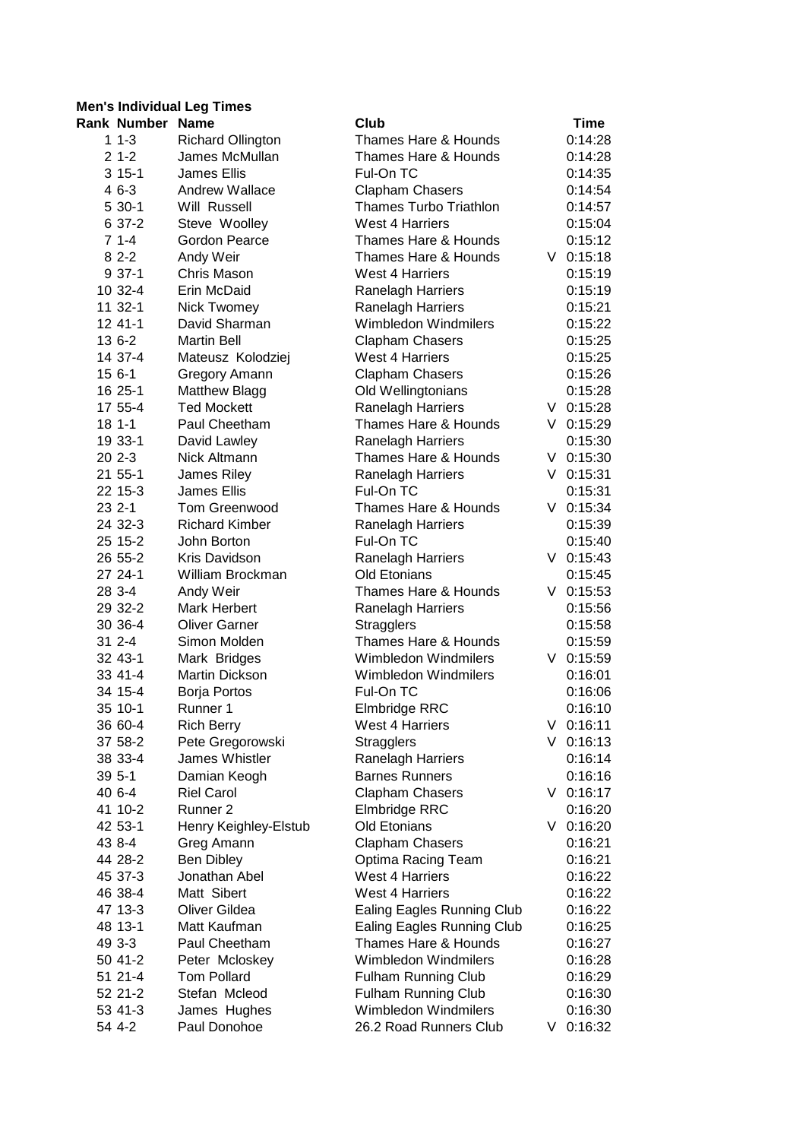## **Men's Individual Leg Times**

| <b>Rank Number Name</b> |                          | Club                              | Time        |
|-------------------------|--------------------------|-----------------------------------|-------------|
| $11-3$                  | <b>Richard Ollington</b> | Thames Hare & Hounds              | 0:14:28     |
| $21-2$                  | James McMullan           | Thames Hare & Hounds              | 0:14:28     |
| $315-1$                 | <b>James Ellis</b>       | Ful-On TC                         | 0:14:35     |
| $46-3$                  | <b>Andrew Wallace</b>    | <b>Clapham Chasers</b>            | 0:14:54     |
| 5 30-1                  | Will Russell             | <b>Thames Turbo Triathlon</b>     | 0:14:57     |
| 6 37-2                  | Steve Woolley            | West 4 Harriers                   | 0:15:04     |
| $71--4$                 | Gordon Pearce            | Thames Hare & Hounds              | 0:15:12     |
| $82-2$                  | Andy Weir                | Thames Hare & Hounds              | $V$ 0:15:18 |
| $937-1$                 | Chris Mason              | <b>West 4 Harriers</b>            | 0:15:19     |
| 10 32-4                 | Erin McDaid              | Ranelagh Harriers                 | 0:15:19     |
| 11 32-1                 | Nick Twomey              | Ranelagh Harriers                 | 0:15:21     |
| 12 41-1                 | David Sharman            | Wimbledon Windmilers              | 0:15:22     |
| 13 6-2                  | <b>Martin Bell</b>       | <b>Clapham Chasers</b>            | 0:15:25     |
| 14 37-4                 | Mateusz Kolodziej        | <b>West 4 Harriers</b>            | 0:15:25     |
| 15 6-1                  | Gregory Amann            | <b>Clapham Chasers</b>            | 0:15:26     |
| 16 25-1                 | <b>Matthew Blagg</b>     | Old Wellingtonians                | 0:15:28     |
| 17 55-4                 | <b>Ted Mockett</b>       | Ranelagh Harriers                 | $V$ 0:15:28 |
| $181 - -1$              | Paul Cheetham            | Thames Hare & Hounds              | $V$ 0:15:29 |
| 19 33-1                 | David Lawley             | Ranelagh Harriers                 | 0:15:30     |
| $202 - -3$              | Nick Altmann             | Thames Hare & Hounds              | $V$ 0:15:30 |
| 21 55-1                 | James Riley              | Ranelagh Harriers                 | $V$ 0:15:31 |
| 22 15-3                 | <b>James Ellis</b>       | Ful-On TC                         | 0:15:31     |
| 23 2-1                  | Tom Greenwood            | Thames Hare & Hounds              | $V$ 0:15:34 |
| 24 32-3                 | <b>Richard Kimber</b>    | Ranelagh Harriers                 | 0:15:39     |
| 25 15-2                 | John Borton              | Ful-On TC                         | 0:15:40     |
| 26 55-2                 | Kris Davidson            | Ranelagh Harriers                 | $V$ 0:15:43 |
| 27 24-1                 | William Brockman         | Old Etonians                      | 0:15:45     |
| 28 3-4                  | Andy Weir                | <b>Thames Hare &amp; Hounds</b>   | $V$ 0:15:53 |
| 29 32-2                 | <b>Mark Herbert</b>      | Ranelagh Harriers                 | 0:15:56     |
| 30 36-4                 | <b>Oliver Garner</b>     | <b>Stragglers</b>                 | 0:15:58     |
| $312 - -4$              | Simon Molden             | Thames Hare & Hounds              | 0:15:59     |
| 32 43-1                 | Mark Bridges             | Wimbledon Windmilers              | $V$ 0:15:59 |
| 33 41-4                 | Martin Dickson           | Wimbledon Windmilers              | 0:16:01     |
| 34 15-4                 | Borja Portos             | Ful-On TC                         | 0:16:06     |
| 35 10-1                 | Runner 1                 | Elmbridge RRC                     | 0:16:10     |
| 36 60-4                 | <b>Rich Berry</b>        | West 4 Harriers                   | $V$ 0:16:11 |
| 37 58-2                 | Pete Gregorowski         | <b>Stragglers</b>                 | $V$ 0:16:13 |
| 38 33-4                 | James Whistler           | Ranelagh Harriers                 | 0:16:14     |
| $395 - -1$              | Damian Keogh             | <b>Barnes Runners</b>             | 0:16:16     |
| 40 6-4                  | <b>Riel Carol</b>        | <b>Clapham Chasers</b>            | $V$ 0:16:17 |
| 41 10-2                 | Runner 2                 | Elmbridge RRC                     | 0:16:20     |
| 42 53-1                 | Henry Keighley-Elstub    | <b>Old Etonians</b>               | $V$ 0:16:20 |
| 43 8-4                  | Greg Amann               | <b>Clapham Chasers</b>            | 0:16:21     |
| 44 28-2                 | <b>Ben Dibley</b>        | Optima Racing Team                | 0:16:21     |
| 45 37-3                 | Jonathan Abel            | <b>West 4 Harriers</b>            | 0:16:22     |
| 46 38-4                 | Matt Sibert              | <b>West 4 Harriers</b>            | 0:16:22     |
| 47 13-3                 | Oliver Gildea            | <b>Ealing Eagles Running Club</b> | 0:16:22     |
| 48 13-1                 | Matt Kaufman             | <b>Ealing Eagles Running Club</b> | 0:16:25     |
| 49 3-3                  | Paul Cheetham            | Thames Hare & Hounds              | 0:16:27     |
| 50 41-2                 | Peter Mcloskey           | Wimbledon Windmilers              | 0:16:28     |
| 51 21-4                 | <b>Tom Pollard</b>       | <b>Fulham Running Club</b>        | 0:16:29     |
| 52 21-2                 | Stefan Mcleod            | <b>Fulham Running Club</b>        | 0:16:30     |
| 53 41-3                 | James Hughes             | Wimbledon Windmilers              | 0:16:30     |
| 54 4-2                  | Paul Donohoe             | 26.2 Road Runners Club            | $V$ 0:16:32 |
|                         |                          |                                   |             |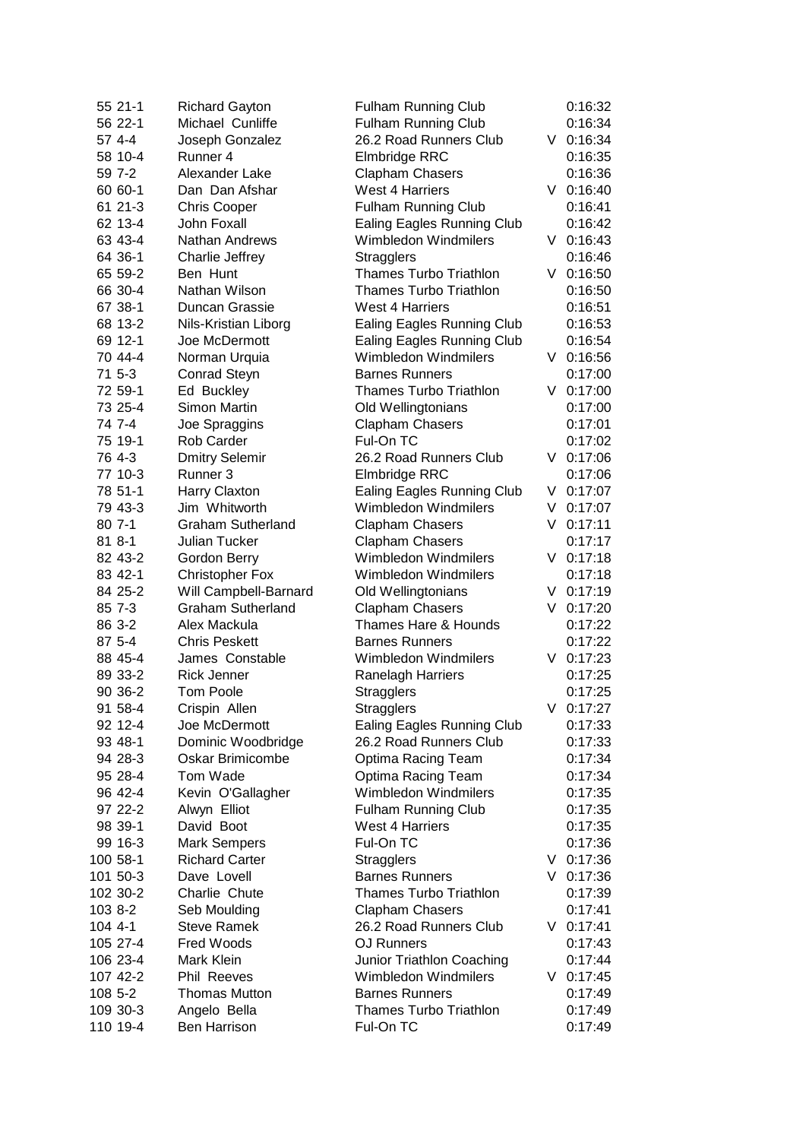|         | 55 21-1  | <b>Richard Gayton</b>    | <b>Fulham Running Club</b>        |    | 0:16:32     |
|---------|----------|--------------------------|-----------------------------------|----|-------------|
|         | 56 22-1  | Michael Cunliffe         | <b>Fulham Running Club</b>        |    | 0:16:34     |
|         | 57 4-4   | Joseph Gonzalez          | 26.2 Road Runners Club            |    | $V$ 0:16:34 |
|         | 58 10-4  | Runner 4                 | Elmbridge RRC                     |    | 0:16:35     |
|         | 59 7-2   | Alexander Lake           | <b>Clapham Chasers</b>            |    | 0:16:36     |
|         | 60 60-1  | Dan Dan Afshar           | West 4 Harriers                   |    | $V$ 0:16:40 |
|         | 61 21-3  | <b>Chris Cooper</b>      | <b>Fulham Running Club</b>        |    | 0:16:41     |
|         | 62 13-4  | John Foxall              | <b>Ealing Eagles Running Club</b> |    | 0:16:42     |
|         | 63 43-4  | <b>Nathan Andrews</b>    | Wimbledon Windmilers              |    | $V$ 0:16:43 |
|         | 64 36-1  | Charlie Jeffrey          | <b>Stragglers</b>                 |    | 0:16:46     |
|         | 65 59-2  | Ben Hunt                 | <b>Thames Turbo Triathlon</b>     | V. | 0:16:50     |
|         | 66 30-4  | Nathan Wilson            | <b>Thames Turbo Triathlon</b>     |    | 0:16:50     |
|         | 67 38-1  | Duncan Grassie           | West 4 Harriers                   |    | 0:16:51     |
|         | 68 13-2  | Nils-Kristian Liborg     | <b>Ealing Eagles Running Club</b> |    | 0:16:53     |
|         | 69 12-1  | Joe McDermott            | <b>Ealing Eagles Running Club</b> |    | 0:16:54     |
|         | 70 44-4  | Norman Urquia            | Wimbledon Windmilers              |    | $V$ 0:16:56 |
|         | 71 5-3   | <b>Conrad Steyn</b>      | <b>Barnes Runners</b>             |    | 0:17:00     |
|         | 72 59-1  | Ed Buckley               | <b>Thames Turbo Triathlon</b>     |    | $V$ 0:17:00 |
|         | 73 25-4  | Simon Martin             | Old Wellingtonians                |    | 0:17:00     |
|         | 74 7-4   | Joe Spraggins            | <b>Clapham Chasers</b>            |    | 0:17:01     |
|         | 75 19-1  | Rob Carder               | Ful-On TC                         |    | 0:17:02     |
|         | 76 4-3   | <b>Dmitry Selemir</b>    | 26.2 Road Runners Club            |    | $V$ 0:17:06 |
|         | 77 10-3  | Runner 3                 | Elmbridge RRC                     |    | 0:17:06     |
|         | 78 51-1  | Harry Claxton            | <b>Ealing Eagles Running Club</b> | V  | 0:17:07     |
|         | 79 43-3  | Jim Whitworth            | Wimbledon Windmilers              | V  | 0:17:07     |
|         | 80 7-1   | <b>Graham Sutherland</b> | <b>Clapham Chasers</b>            | V  | 0:17:11     |
|         | 81 8-1   | Julian Tucker            | Clapham Chasers                   |    | 0:17:17     |
|         | 82 43-2  | Gordon Berry             | Wimbledon Windmilers              |    | $V$ 0:17:18 |
|         | 83 42-1  | <b>Christopher Fox</b>   | Wimbledon Windmilers              |    | 0:17:18     |
|         | 84 25-2  | Will Campbell-Barnard    | Old Wellingtonians                |    | $V$ 0:17:19 |
|         | 85 7-3   | <b>Graham Sutherland</b> | <b>Clapham Chasers</b>            |    | $V$ 0:17:20 |
|         | 86 3-2   | Alex Mackula             | <b>Thames Hare &amp; Hounds</b>   |    | 0:17:22     |
|         | 87 5-4   | <b>Chris Peskett</b>     | <b>Barnes Runners</b>             |    | 0:17:22     |
|         | 88 45-4  | James Constable          | Wimbledon Windmilers              |    | $V$ 0:17:23 |
|         | 89 33-2  | <b>Rick Jenner</b>       | <b>Ranelagh Harriers</b>          |    | 0:17:25     |
|         | 90 36-2  | <b>Tom Poole</b>         | <b>Stragglers</b>                 |    | 0:17:25     |
|         | 91 58-4  | Crispin Allen            | Stragglers                        |    | $V$ 0:17:27 |
|         | 92 12-4  | Joe McDermott            | <b>Ealing Eagles Running Club</b> |    | 0:17:33     |
|         | 93 48-1  | Dominic Woodbridge       | 26.2 Road Runners Club            |    | 0:17:33     |
|         | 94 28-3  | <b>Oskar Brimicombe</b>  | Optima Racing Team                |    | 0:17:34     |
|         | 95 28-4  | Tom Wade                 | Optima Racing Team                |    | 0:17:34     |
|         | 96 42-4  | Kevin O'Gallagher        | Wimbledon Windmilers              |    | 0:17:35     |
|         | 97 22-2  | Alwyn Elliot             | <b>Fulham Running Club</b>        |    | 0:17:35     |
|         | 98 39-1  | David Boot               | <b>West 4 Harriers</b>            |    | 0:17:35     |
|         | 99 16-3  | <b>Mark Sempers</b>      | Ful-On TC                         |    | 0:17:36     |
|         | 100 58-1 | <b>Richard Carter</b>    | <b>Stragglers</b>                 | V. | 0:17:36     |
|         | 101 50-3 | Dave Lovell              | <b>Barnes Runners</b>             | V. | 0:17:36     |
|         | 102 30-2 | Charlie Chute            | <b>Thames Turbo Triathlon</b>     |    | 0:17:39     |
| 103 8-2 |          | Seb Moulding             | <b>Clapham Chasers</b>            |    | 0:17:41     |
| 104 4-1 |          | <b>Steve Ramek</b>       | 26.2 Road Runners Club            |    | $V$ 0:17:41 |
|         | 105 27-4 | <b>Fred Woods</b>        | <b>OJ Runners</b>                 |    | 0:17:43     |
|         | 106 23-4 | Mark Klein               | Junior Triathlon Coaching         |    | 0:17:44     |
|         | 107 42-2 | Phil Reeves              | Wimbledon Windmilers              |    | $V$ 0:17:45 |
| 108 5-2 |          | <b>Thomas Mutton</b>     | <b>Barnes Runners</b>             |    | 0:17:49     |
|         | 109 30-3 | Angelo Bella             | <b>Thames Turbo Triathlon</b>     |    | 0:17:49     |
|         | 110 19-4 | <b>Ben Harrison</b>      | Ful-On TC                         |    | 0:17:49     |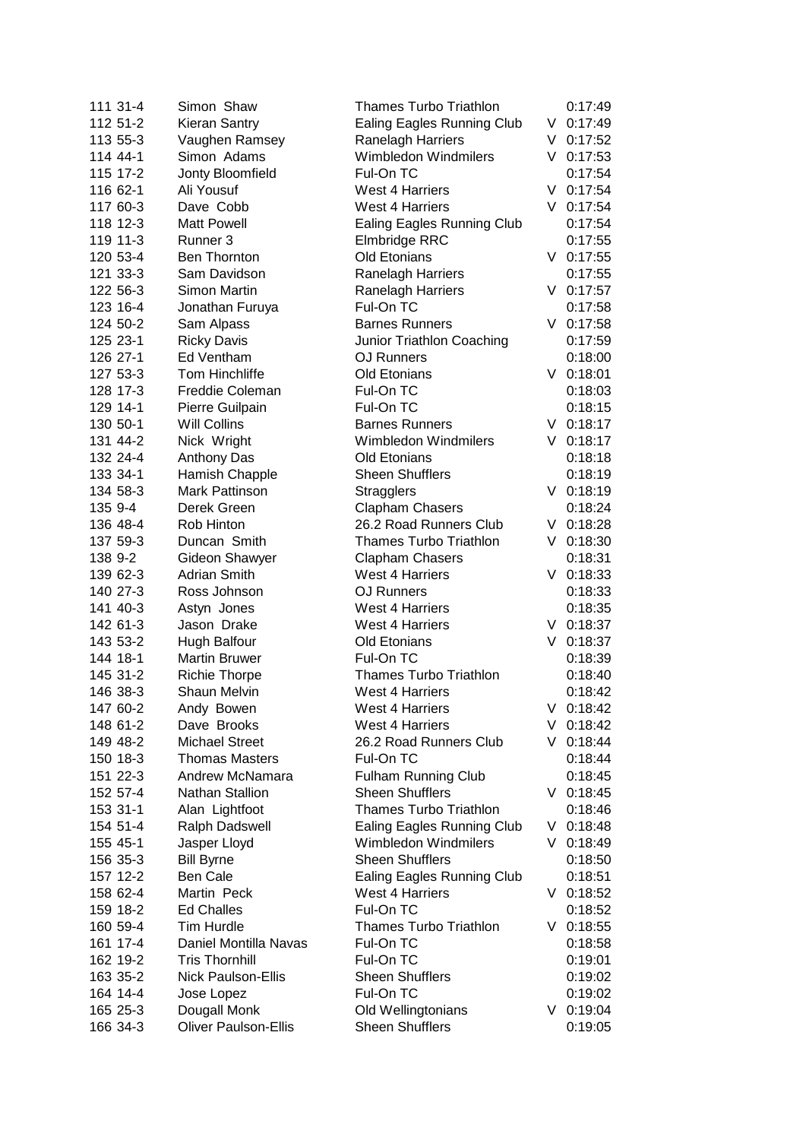| 111 31-4 | Simon Shaw                  | <b>Thames Turbo Triathlon</b>     |    | 0:17:49     |
|----------|-----------------------------|-----------------------------------|----|-------------|
| 112 51-2 | <b>Kieran Santry</b>        | <b>Ealing Eagles Running Club</b> |    | $V$ 0:17:49 |
| 113 55-3 | Vaughen Ramsey              | Ranelagh Harriers                 | V  | 0:17:52     |
| 114 44-1 | Simon Adams                 | Wimbledon Windmilers              |    | $V$ 0:17:53 |
| 115 17-2 | Jonty Bloomfield            | Ful-On TC                         |    | 0:17:54     |
| 116 62-1 | Ali Yousuf                  | <b>West 4 Harriers</b>            | V  | 0:17:54     |
| 117 60-3 | Dave Cobb                   | West 4 Harriers                   | V  | 0:17:54     |
| 118 12-3 | <b>Matt Powell</b>          | <b>Ealing Eagles Running Club</b> |    | 0:17:54     |
| 119 11-3 | Runner 3                    | Elmbridge RRC                     |    | 0:17:55     |
| 120 53-4 | Ben Thornton                | Old Etonians                      | V. | 0:17:55     |
| 121 33-3 | Sam Davidson                | Ranelagh Harriers                 |    | 0:17:55     |
| 122 56-3 | Simon Martin                | Ranelagh Harriers                 |    | $V$ 0:17:57 |
| 123 16-4 | Jonathan Furuya             | Ful-On TC                         |    | 0:17:58     |
| 124 50-2 | Sam Alpass                  | <b>Barnes Runners</b>             |    | $V$ 0:17:58 |
| 125 23-1 | <b>Ricky Davis</b>          | Junior Triathlon Coaching         |    | 0:17:59     |
| 126 27-1 | Ed Ventham                  | <b>OJ Runners</b>                 |    | 0:18:00     |
| 127 53-3 | Tom Hinchliffe              | Old Etonians                      |    | $V$ 0:18:01 |
| 128 17-3 | Freddie Coleman             | Ful-On TC                         |    | 0:18:03     |
| 129 14-1 | Pierre Guilpain             | Ful-On TC                         |    | 0:18:15     |
| 130 50-1 | Will Collins                | <b>Barnes Runners</b>             |    | $V$ 0:18:17 |
| 131 44-2 | Nick Wright                 | Wimbledon Windmilers              |    | $V$ 0:18:17 |
| 132 24-4 | <b>Anthony Das</b>          | Old Etonians                      |    | 0:18:18     |
| 133 34-1 | Hamish Chapple              | <b>Sheen Shufflers</b>            |    | 0:18:19     |
| 134 58-3 | <b>Mark Pattinson</b>       | <b>Stragglers</b>                 | V. | 0:18:19     |
| 135 9-4  | Derek Green                 | <b>Clapham Chasers</b>            |    | 0:18:24     |
| 136 48-4 | Rob Hinton                  | 26.2 Road Runners Club            | V. | 0:18:28     |
| 137 59-3 | Duncan Smith                | <b>Thames Turbo Triathlon</b>     | V  | 0:18:30     |
| 138 9-2  | <b>Gideon Shawyer</b>       | <b>Clapham Chasers</b>            |    | 0:18:31     |
| 139 62-3 | <b>Adrian Smith</b>         | <b>West 4 Harriers</b>            |    | $V$ 0:18:33 |
| 140 27-3 | Ross Johnson                | <b>OJ Runners</b>                 |    | 0:18:33     |
| 141 40-3 | Astyn Jones                 | West 4 Harriers                   |    | 0:18:35     |
| 142 61-3 | Jason Drake                 | West 4 Harriers                   | V. | 0:18:37     |
| 143 53-2 | Hugh Balfour                | Old Etonians                      |    | $V$ 0:18:37 |
| 144 18-1 | <b>Martin Bruwer</b>        | Ful-On TC                         |    | 0:18:39     |
| 145 31-2 | <b>Richie Thorpe</b>        | <b>Thames Turbo Triathlon</b>     |    | 0:18:40     |
| 146 38-3 | <b>Shaun Melvin</b>         | <b>West 4 Harriers</b>            |    | 0:18:42     |
| 147 60-2 | Andy Bowen                  | West 4 Harriers                   |    | $V$ 0:18:42 |
| 148 61-2 | Dave Brooks                 | <b>West 4 Harriers</b>            | V  | 0:18:42     |
| 149 48-2 | <b>Michael Street</b>       | 26.2 Road Runners Club            | V  | 0:18:44     |
| 150 18-3 | <b>Thomas Masters</b>       | Ful-On TC                         |    | 0:18:44     |
| 151 22-3 | Andrew McNamara             | Fulham Running Club               |    | 0:18:45     |
| 152 57-4 | Nathan Stallion             | <b>Sheen Shufflers</b>            | V  | 0:18:45     |
|          | Alan Lightfoot              | <b>Thames Turbo Triathlon</b>     |    |             |
| 153 31-1 | Ralph Dadswell              | <b>Ealing Eagles Running Club</b> |    | 0:18:46     |
| 154 51-4 | Jasper Lloyd                | Wimbledon Windmilers              | V  | 0:18:48     |
| 155 45-1 |                             | <b>Sheen Shufflers</b>            | V  | 0:18:49     |
| 156 35-3 | <b>Bill Byrne</b>           |                                   |    | 0:18:50     |
| 157 12-2 | <b>Ben Cale</b>             | Ealing Eagles Running Club        |    | 0:18:51     |
| 158 62-4 | Martin Peck                 | <b>West 4 Harriers</b>            |    | $V$ 0:18:52 |
| 159 18-2 | <b>Ed Challes</b>           | Ful-On TC                         |    | 0:18:52     |
| 160 59-4 | Tim Hurdle                  | <b>Thames Turbo Triathlon</b>     |    | $V$ 0:18:55 |
| 161 17-4 | Daniel Montilla Navas       | Ful-On TC                         |    | 0:18:58     |
| 162 19-2 | <b>Tris Thornhill</b>       | Ful-On TC                         |    | 0:19:01     |
| 163 35-2 | <b>Nick Paulson-Ellis</b>   | <b>Sheen Shufflers</b>            |    | 0:19:02     |
| 164 14-4 | Jose Lopez                  | Ful-On TC                         |    | 0:19:02     |
| 165 25-3 | Dougall Monk                | Old Wellingtonians                |    | $V$ 0:19:04 |
| 166 34-3 | <b>Oliver Paulson-Ellis</b> | <b>Sheen Shufflers</b>            |    | 0:19:05     |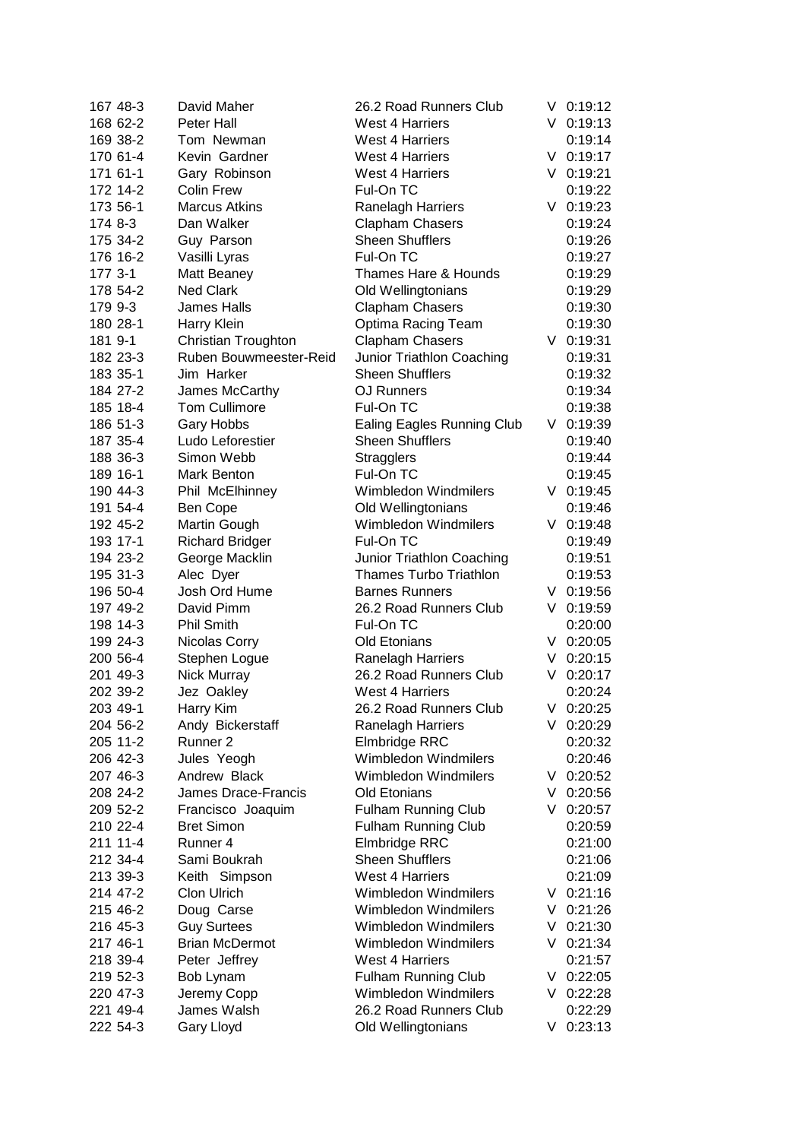| 167 48-3 | David Maher            | 26.2 Road Runners Club            | V  | 0:19:12     |
|----------|------------------------|-----------------------------------|----|-------------|
| 168 62-2 | Peter Hall             | <b>West 4 Harriers</b>            |    | $V$ 0:19:13 |
| 169 38-2 | Tom Newman             | <b>West 4 Harriers</b>            |    | 0:19:14     |
| 170 61-4 | Kevin Gardner          | West 4 Harriers                   |    | $V$ 0:19:17 |
| 171 61-1 | Gary Robinson          | <b>West 4 Harriers</b>            |    | $V$ 0:19:21 |
| 172 14-2 | <b>Colin Frew</b>      | Ful-On TC                         |    | 0:19:22     |
| 173 56-1 | <b>Marcus Atkins</b>   | Ranelagh Harriers                 |    | $V$ 0:19:23 |
| 174 8-3  | Dan Walker             | Clapham Chasers                   |    | 0:19:24     |
| 175 34-2 | Guy Parson             | <b>Sheen Shufflers</b>            |    | 0:19:26     |
| 176 16-2 | Vasilli Lyras          | Ful-On TC                         |    | 0:19:27     |
| 177 3-1  | Matt Beaney            | Thames Hare & Hounds              |    | 0:19:29     |
| 178 54-2 | <b>Ned Clark</b>       | Old Wellingtonians                |    | 0:19:29     |
| 179 9-3  | James Halls            | Clapham Chasers                   |    | 0:19:30     |
| 180 28-1 | Harry Klein            | Optima Racing Team                |    | 0:19:30     |
| 181 9-1  | Christian Troughton    | Clapham Chasers                   |    | $V$ 0:19:31 |
| 182 23-3 | Ruben Bouwmeester-Reid | Junior Triathlon Coaching         |    | 0:19:31     |
| 183 35-1 | Jim Harker             | <b>Sheen Shufflers</b>            |    | 0:19:32     |
| 184 27-2 | James McCarthy         | <b>OJ Runners</b>                 |    | 0:19:34     |
| 185 18-4 | <b>Tom Cullimore</b>   | Ful-On TC                         |    | 0:19:38     |
| 186 51-3 | Gary Hobbs             | <b>Ealing Eagles Running Club</b> |    | $V$ 0:19:39 |
| 187 35-4 | Ludo Leforestier       | <b>Sheen Shufflers</b>            |    | 0:19:40     |
| 188 36-3 | Simon Webb             | <b>Stragglers</b>                 |    | 0:19:44     |
| 189 16-1 | Mark Benton            | Ful-On TC                         |    | 0:19:45     |
| 190 44-3 | Phil McElhinney        | <b>Wimbledon Windmilers</b>       |    | $V$ 0:19:45 |
| 191 54-4 | Ben Cope               | Old Wellingtonians                |    | 0:19:46     |
| 192 45-2 | Martin Gough           | Wimbledon Windmilers              |    | $V$ 0:19:48 |
| 193 17-1 | <b>Richard Bridger</b> | Ful-On TC                         |    | 0:19:49     |
| 194 23-2 | George Macklin         | Junior Triathlon Coaching         |    | 0:19:51     |
| 195 31-3 | Alec Dyer              | <b>Thames Turbo Triathlon</b>     |    | 0:19:53     |
| 196 50-4 | Josh Ord Hume          | <b>Barnes Runners</b>             |    | $V$ 0:19:56 |
| 197 49-2 | David Pimm             | 26.2 Road Runners Club            |    | $V$ 0:19:59 |
| 198 14-3 | <b>Phil Smith</b>      | Ful-On TC                         |    | 0:20:00     |
| 199 24-3 | Nicolas Corry          | Old Etonians                      |    | $V$ 0:20:05 |
| 200 56-4 | Stephen Logue          | Ranelagh Harriers                 |    | $V$ 0:20:15 |
| 201 49-3 | Nick Murray            | 26.2 Road Runners Club            |    | $V$ 0:20:17 |
| 202 39-2 | Jez Oakley             | <b>West 4 Harriers</b>            |    | 0:20:24     |
| 203 49-1 | Harry Kim              | 26.2 Road Runners Club            |    | $V$ 0:20:25 |
| 204 56-2 | Andy Bickerstaff       | Ranelagh Harriers                 | V  | 0:20:29     |
| 205 11-2 | Runner 2               | Elmbridge RRC                     |    | 0:20:32     |
| 206 42-3 | Jules Yeogh            | <b>Wimbledon Windmilers</b>       |    | 0:20:46     |
| 207 46-3 | Andrew Black           | <b>Wimbledon Windmilers</b>       | V  | 0:20:52     |
| 208 24-2 | James Drace-Francis    | Old Etonians                      | V  | 0:20:56     |
| 209 52-2 | Francisco Joaquim      | <b>Fulham Running Club</b>        | V  | 0:20:57     |
| 210 22-4 | <b>Bret Simon</b>      | <b>Fulham Running Club</b>        |    | 0:20:59     |
| 211 11-4 | Runner 4               | Elmbridge RRC                     |    | 0:21:00     |
| 212 34-4 | Sami Boukrah           | <b>Sheen Shufflers</b>            |    | 0:21:06     |
| 213 39-3 | Keith Simpson          | <b>West 4 Harriers</b>            |    | 0:21:09     |
| 214 47-2 | Clon Ulrich            | <b>Wimbledon Windmilers</b>       |    | $V$ 0:21:16 |
| 215 46-2 | Doug Carse             | <b>Wimbledon Windmilers</b>       |    | $V$ 0:21:26 |
| 216 45-3 | <b>Guy Surtees</b>     | <b>Wimbledon Windmilers</b>       | V  | 0:21:30     |
| 217 46-1 | <b>Brian McDermot</b>  | <b>Wimbledon Windmilers</b>       |    | $V$ 0:21:34 |
| 218 39-4 | Peter Jeffrey          | <b>West 4 Harriers</b>            |    | 0:21:57     |
| 219 52-3 | Bob Lynam              | <b>Fulham Running Club</b>        |    | $V$ 0:22:05 |
| 220 47-3 | Jeremy Copp            | Wimbledon Windmilers              |    | $V$ 0:22:28 |
| 221 49-4 | James Walsh            | 26.2 Road Runners Club            |    | 0:22:29     |
| 222 54-3 | <b>Gary Lloyd</b>      | Old Wellingtonians                | V. | 0:23:13     |